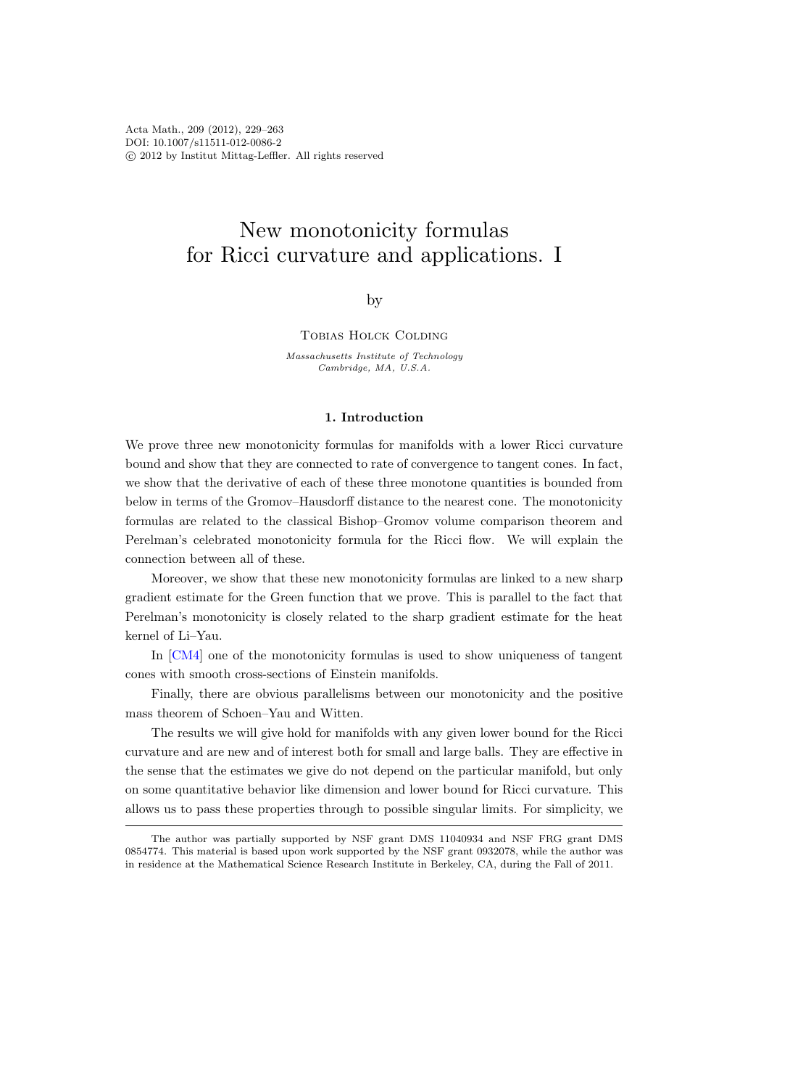# New monotonicity formulas for Ricci curvature and applications. I

by

# Tobias Holck Colding

Massachusetts Institute of Technology Cambridge, MA, U.S.A.

# 1. Introduction

We prove three new monotonicity formulas for manifolds with a lower Ricci curvature bound and show that they are connected to rate of convergence to tangent cones. In fact, we show that the derivative of each of these three monotone quantities is bounded from below in terms of the Gromov–Hausdorff distance to the nearest cone. The monotonicity formulas are related to the classical Bishop–Gromov volume comparison theorem and Perelman's celebrated monotonicity formula for the Ricci flow. We will explain the connection between all of these.

Moreover, we show that these new monotonicity formulas are linked to a new sharp gradient estimate for the Green function that we prove. This is parallel to the fact that Perelman's monotonicity is closely related to the sharp gradient estimate for the heat kernel of Li–Yau.

In [\[CM4\]](#page-33-0) one of the monotonicity formulas is used to show uniqueness of tangent cones with smooth cross-sections of Einstein manifolds.

Finally, there are obvious parallelisms between our monotonicity and the positive mass theorem of Schoen–Yau and Witten.

The results we will give hold for manifolds with any given lower bound for the Ricci curvature and are new and of interest both for small and large balls. They are effective in the sense that the estimates we give do not depend on the particular manifold, but only on some quantitative behavior like dimension and lower bound for Ricci curvature. This allows us to pass these properties through to possible singular limits. For simplicity, we

The author was partially supported by NSF grant DMS 11040934 and NSF FRG grant DMS 0854774. This material is based upon work supported by the NSF grant 0932078, while the author was in residence at the Mathematical Science Research Institute in Berkeley, CA, during the Fall of 2011.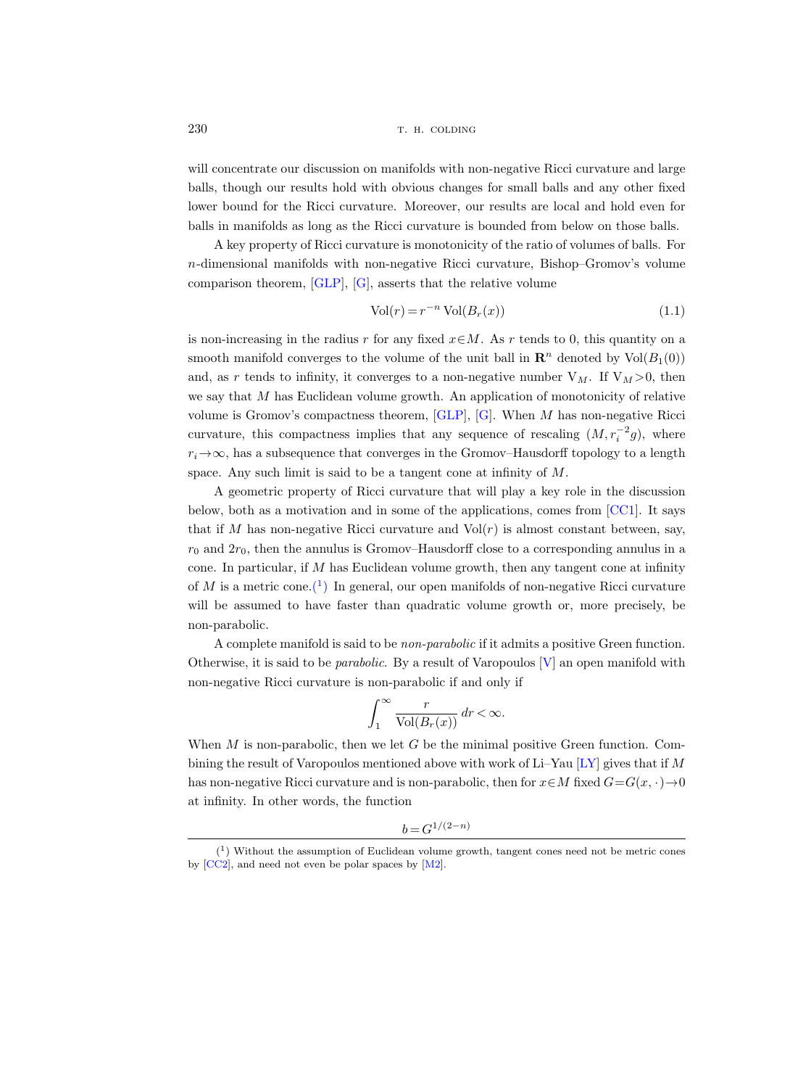will concentrate our discussion on manifolds with non-negative Ricci curvature and large balls, though our results hold with obvious changes for small balls and any other fixed lower bound for the Ricci curvature. Moreover, our results are local and hold even for balls in manifolds as long as the Ricci curvature is bounded from below on those balls.

A key property of Ricci curvature is monotonicity of the ratio of volumes of balls. For n-dimensional manifolds with non-negative Ricci curvature, Bishop–Gromov's volume comparison theorem, [\[GLP\]](#page-33-0), [\[G\]](#page-33-0), asserts that the relative volume

$$
Vol(r) = r^{-n} Vol(B_r(x))
$$
\n(1.1)

is non-increasing in the radius r for any fixed  $x \in M$ . As r tends to 0, this quantity on a smooth manifold converges to the volume of the unit ball in  $\mathbb{R}^n$  denoted by  $\text{Vol}(B_1(0))$ and, as r tends to infinity, it converges to a non-negative number  $V_M$ . If  $V_M > 0$ , then we say that M has Euclidean volume growth. An application of monotonicity of relative volume is Gromov's compactness theorem,  $[GLP]$ ,  $[G]$ . When M has non-negative Ricci curvature, this compactness implies that any sequence of rescaling  $(M, r_i^{-2}g)$ , where  $r_i \rightarrow \infty$ , has a subsequence that converges in the Gromov–Hausdorff topology to a length space. Any such limit is said to be a tangent cone at infinity of M.

A geometric property of Ricci curvature that will play a key role in the discussion below, both as a motivation and in some of the applications, comes from  $[CC1]$ . It says that if M has non-negative Ricci curvature and  $Vol(r)$  is almost constant between, say,  $r_0$  and  $2r_0$ , then the annulus is Gromov–Hausdorff close to a corresponding annulus in a cone. In particular, if  $M$  has Euclidean volume growth, then any tangent cone at infinity of M is a metric cone.<sup>(1)</sup> In general, our open manifolds of non-negative Ricci curvature will be assumed to have faster than quadratic volume growth or, more precisely, be non-parabolic.

A complete manifold is said to be non-parabolic if it admits a positive Green function. Otherwise, it is said to be parabolic. By a result of Varopoulos [\[V\]](#page-34-0) an open manifold with non-negative Ricci curvature is non-parabolic if and only if

$$
\int_1^\infty \frac{r}{\text{Vol}(B_r(x))} \, dr < \infty.
$$

When  $M$  is non-parabolic, then we let  $G$  be the minimal positive Green function. Com-bining the result of Varopoulos mentioned above with work of Li–Yau [\[LY\]](#page-33-0) gives that if M has non-negative Ricci curvature and is non-parabolic, then for  $x \in M$  fixed  $G = G(x, \cdot) \to 0$ at infinity. In other words, the function

 $b = G^{1/(2-n)}$ 

<span id="page-1-0"></span>

 $(1)$  Without the assumption of Euclidean volume growth, tangent cones need not be metric cones by [\[CC2\]](#page-33-0), and need not even be polar spaces by [\[M2\]](#page-33-0).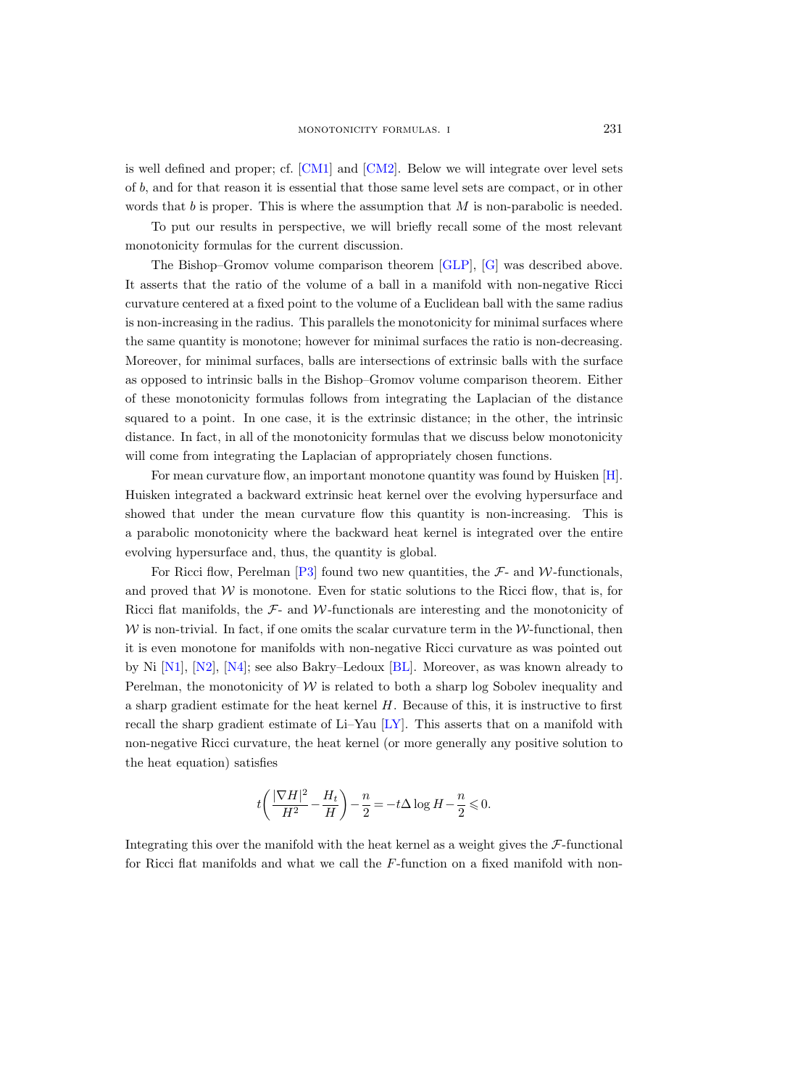is well defined and proper; cf. [\[CM1\]](#page-33-0) and [\[CM2\]](#page-33-0). Below we will integrate over level sets of b, and for that reason it is essential that those same level sets are compact, or in other words that  $b$  is proper. This is where the assumption that  $M$  is non-parabolic is needed.

To put our results in perspective, we will briefly recall some of the most relevant monotonicity formulas for the current discussion.

The Bishop–Gromov volume comparison theorem [\[GLP\]](#page-33-0), [\[G\]](#page-33-0) was described above. It asserts that the ratio of the volume of a ball in a manifold with non-negative Ricci curvature centered at a fixed point to the volume of a Euclidean ball with the same radius is non-increasing in the radius. This parallels the monotonicity for minimal surfaces where the same quantity is monotone; however for minimal surfaces the ratio is non-decreasing. Moreover, for minimal surfaces, balls are intersections of extrinsic balls with the surface as opposed to intrinsic balls in the Bishop–Gromov volume comparison theorem. Either of these monotonicity formulas follows from integrating the Laplacian of the distance squared to a point. In one case, it is the extrinsic distance; in the other, the intrinsic distance. In fact, in all of the monotonicity formulas that we discuss below monotonicity will come from integrating the Laplacian of appropriately chosen functions.

For mean curvature flow, an important monotone quantity was found by Huisken [\[H\]](#page-33-0). Huisken integrated a backward extrinsic heat kernel over the evolving hypersurface and showed that under the mean curvature flow this quantity is non-increasing. This is a parabolic monotonicity where the backward heat kernel is integrated over the entire evolving hypersurface and, thus, the quantity is global.

For Ricci flow, Perelman [\[P3\]](#page-34-0) found two new quantities, the  $\mathcal{F}_2$ - and W-functionals, and proved that  $W$  is monotone. Even for static solutions to the Ricci flow, that is, for Ricci flat manifolds, the  $\mathcal{F}$ - and W-functionals are interesting and the monotonicity of  $W$  is non-trivial. In fact, if one omits the scalar curvature term in the  $W$ -functional, then it is even monotone for manifolds with non-negative Ricci curvature as was pointed out by Ni [\[N1\]](#page-34-0), [\[N2\]](#page-34-0), [\[N4\]](#page-34-0); see also Bakry–Ledoux [\[BL\]](#page-33-0). Moreover, as was known already to Perelman, the monotonicity of  $W$  is related to both a sharp log Sobolev inequality and a sharp gradient estimate for the heat kernel H. Because of this, it is instructive to first recall the sharp gradient estimate of Li–Yau [\[LY\]](#page-33-0). This asserts that on a manifold with non-negative Ricci curvature, the heat kernel (or more generally any positive solution to the heat equation) satisfies

$$
t\left(\frac{|\nabla H|^2}{H^2} - \frac{H_t}{H}\right) - \frac{n}{2} = -t\Delta \log H - \frac{n}{2} \leqslant 0.
$$

Integrating this over the manifold with the heat kernel as a weight gives the  $\mathcal{F}\text{-}function$ for Ricci flat manifolds and what we call the F-function on a fixed manifold with non-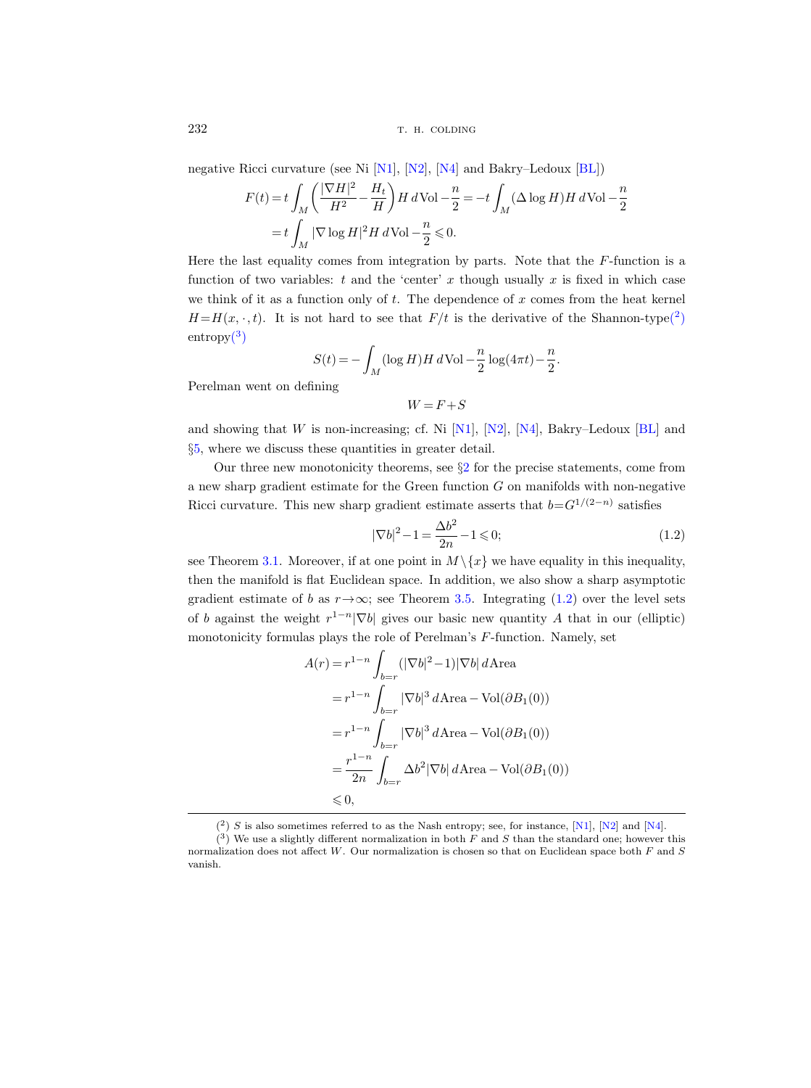negative Ricci curvature (see Ni [\[N1\]](#page-34-0), [\[N2\]](#page-34-0), [\[N4\]](#page-34-0) and Bakry–Ledoux [\[BL\]](#page-33-0))

$$
F(t) = t \int_M \left( \frac{|\nabla H|^2}{H^2} - \frac{H_t}{H} \right) H dVol - \frac{n}{2} = -t \int_M (\Delta \log H) H dVol - \frac{n}{2}
$$
  
=  $t \int_M |\nabla \log H|^2 H dVol - \frac{n}{2} \le 0.$ 

Here the last equality comes from integration by parts. Note that the F-function is a function of two variables:  $t$  and the 'center' x though usually x is fixed in which case we think of it as a function only of  $t$ . The dependence of  $x$  comes from the heat kernel  $H=H(x, \cdot, t)$ . It is not hard to see that  $F/t$  is the derivative of the Shannon-type(2)  $entropy<sup>(3)</sup>$ 

$$
S(t) = -\int_M (\log H) H \, d\text{Vol} - \frac{n}{2} \log(4\pi t) - \frac{n}{2}.
$$

Perelman went on defining

 $W = F + S$ 

and showing that W is non-increasing; cf. Ni [\[N1\]](#page-34-0), [\[N2\]](#page-34-0), [\[N4\]](#page-34-0), Bakry–Ledoux [\[BL\]](#page-33-0) and §[5,](#page-28-0) where we discuss these quantities in greater detail.

Our three new monotonicity theorems, see §[2](#page-6-0) for the precise statements, come from a new sharp gradient estimate for the Green function  $G$  on manifolds with non-negative Ricci curvature. This new sharp gradient estimate asserts that  $b=G^{1/(2-n)}$  satisfies

$$
|\nabla b|^2 - 1 = \frac{\Delta b^2}{2n} - 1 \le 0; \tag{1.2}
$$

see Theorem [3.1.](#page-18-0) Moreover, if at one point in  $M \setminus \{x\}$  we have equality in this inequality, then the manifold is flat Euclidean space. In addition, we also show a sharp asymptotic gradient estimate of b as  $r \rightarrow \infty$ ; see Theorem [3.5.](#page-21-0) Integrating (1.2) over the level sets of b against the weight  $r^{1-n}|\nabla b|$  gives our basic new quantity A that in our (elliptic) monotonicity formulas plays the role of Perelman's F-function. Namely, set

$$
A(r) = r^{1-n} \int_{b=r} (|\nabla b|^2 - 1)|\nabla b| d \text{Area}
$$
  
=  $r^{1-n} \int_{b=r} |\nabla b|^3 d \text{Area} - \text{Vol}(\partial B_1(0))$   
=  $r^{1-n} \int_{b=r} |\nabla b|^3 d \text{Area} - \text{Vol}(\partial B_1(0))$   
=  $\frac{r^{1-n}}{2n} \int_{b=r} \Delta b^2 |\nabla b| d \text{Area} - \text{Vol}(\partial B_1(0))$   
 $\leq 0,$ 

 $(2)$  S is also sometimes referred to as the Nash entropy; see, for instance, [\[N1\]](#page-34-0), [\[N2\]](#page-34-0) and [\[N4\]](#page-34-0).

 $(3)$  We use a slightly different normalization in both F and S than the standard one; however this normalization does not affect W. Our normalization is chosen so that on Euclidean space both F and S vanish.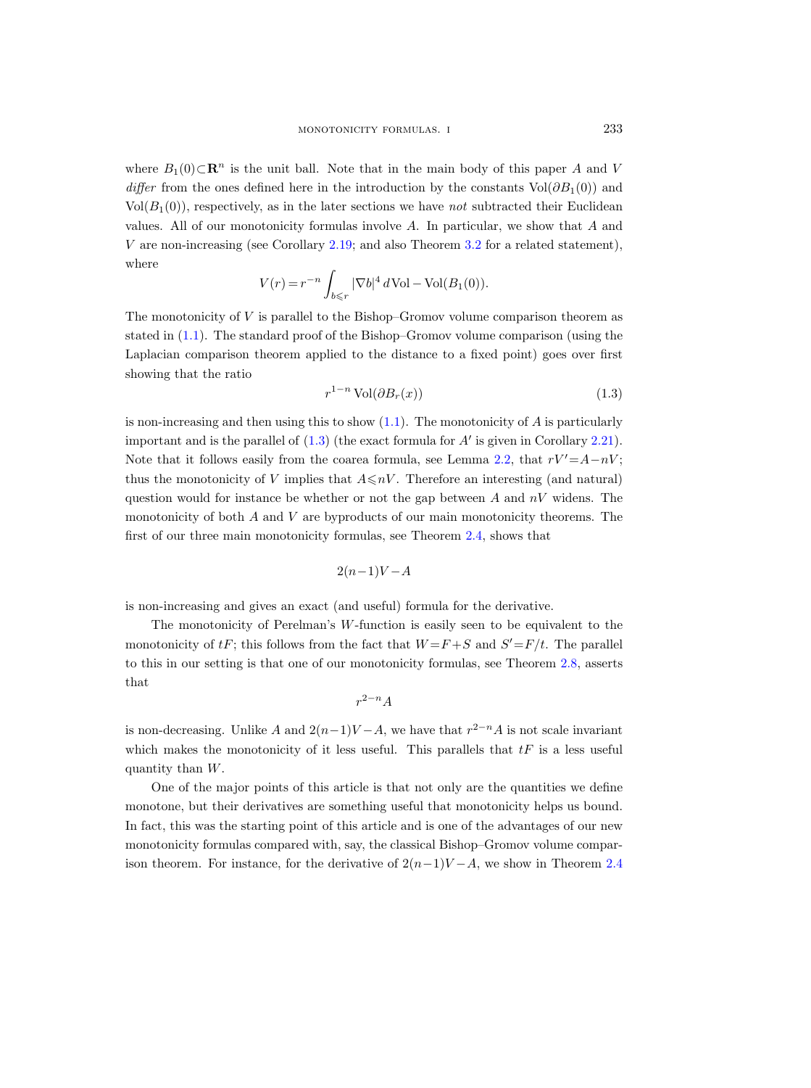where  $B_1(0) \subset \mathbb{R}^n$  is the unit ball. Note that in the main body of this paper A and V differ from the ones defined here in the introduction by the constants  $Vol(\partial B_1(0))$  and  $Vol(B_1(0))$ , respectively, as in the later sections we have not subtracted their Euclidean values. All of our monotonicity formulas involve A. In particular, we show that A and V are non-increasing (see Corollary [2.19;](#page-17-0) and also Theorem [3.2](#page-20-0) for a related statement), where

$$
V(r) = r^{-n} \int_{b \le r} |\nabla b|^4 d\text{Vol} - \text{Vol}(B_1(0)).
$$

The monotonicity of  $V$  is parallel to the Bishop–Gromov volume comparison theorem as stated in [\(1.1\)](#page-1-0). The standard proof of the Bishop–Gromov volume comparison (using the Laplacian comparison theorem applied to the distance to a fixed point) goes over first showing that the ratio

$$
r^{1-n} \operatorname{Vol}(\partial B_r(x)) \tag{1.3}
$$

is non-increasing and then using this to show  $(1.1)$ . The monotonicity of A is particularly important and is the parallel of  $(1.3)$  (the exact formula for  $A'$  is given in Corollary [2.21\)](#page-17-0). Note that it follows easily from the coarea formula, see Lemma [2.2,](#page-8-0) that  $rV'=A-nV$ ; thus the monotonicity of V implies that  $A \leq nV$ . Therefore an interesting (and natural) question would for instance be whether or not the gap between  $A$  and  $nV$  widens. The monotonicity of both A and V are byproducts of our main monotonicity theorems. The first of our three main monotonicity formulas, see Theorem [2.4,](#page-8-0) shows that

$$
2(n-1)V - A
$$

is non-increasing and gives an exact (and useful) formula for the derivative.

The monotonicity of Perelman's W-function is easily seen to be equivalent to the monotonicity of  $tF$ ; this follows from the fact that  $W = F + S$  and  $S' = F/t$ . The parallel to this in our setting is that one of our monotonicity formulas, see Theorem [2.8,](#page-11-0) asserts that

$$
r^{2-n}A
$$

is non-decreasing. Unlike A and  $2(n-1)V-A$ , we have that  $r^{2-n}A$  is not scale invariant which makes the monotonicity of it less useful. This parallels that  $tF$  is a less useful quantity than W.

One of the major points of this article is that not only are the quantities we define monotone, but their derivatives are something useful that monotonicity helps us bound. In fact, this was the starting point of this article and is one of the advantages of our new monotonicity formulas compared with, say, the classical Bishop–Gromov volume comparison theorem. For instance, for the derivative of  $2(n-1)V - A$ , we show in Theorem [2.4](#page-8-0)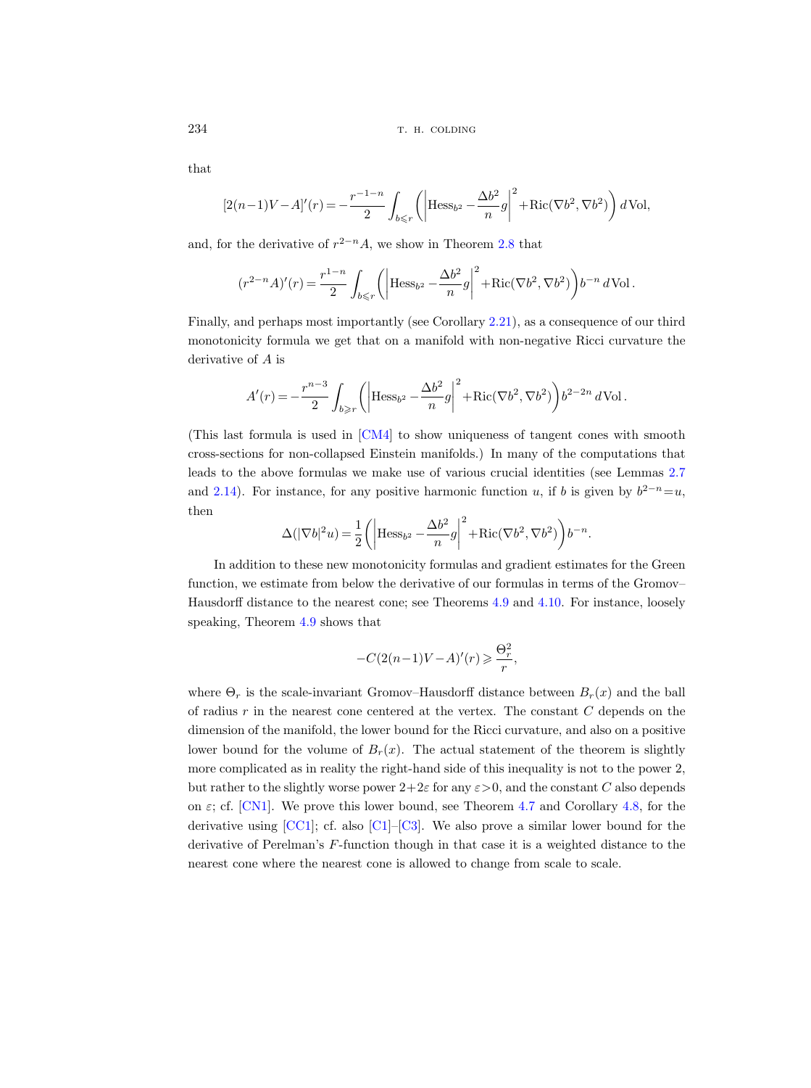that

$$
[2(n-1)V - A]'(r) = -\frac{r^{-1-n}}{2} \int_{b \le r} \left( \left| \text{Hess}_{b^2} - \frac{\Delta b^2}{n} g \right|^2 + \text{Ric}(\nabla b^2, \nabla b^2) \right) d\text{Vol},
$$

and, for the derivative of  $r^{2-n}A$ , we show in Theorem [2.8](#page-11-0) that

$$
(r^{2-n}A)'(r) = \frac{r^{1-n}}{2} \int_{b \le r} \left( \left| \text{Hess}_{b^2} - \frac{\Delta b^2}{n} g \right|^2 + \text{Ric}(\nabla b^2, \nabla b^2) \right) b^{-n} d\text{Vol}.
$$

Finally, and perhaps most importantly (see Corollary [2.21\)](#page-17-0), as a consequence of our third monotonicity formula we get that on a manifold with non-negative Ricci curvature the derivative of A is

$$
A'(r) = -\frac{r^{n-3}}{2} \int_{b \ge r} \left( \left| \text{Hess}_{b^2} - \frac{\Delta b^2}{n} g \right|^2 + \text{Ric}(\nabla b^2, \nabla b^2) \right) b^{2-2n} d\text{Vol}.
$$

(This last formula is used in [\[CM4\]](#page-33-0) to show uniqueness of tangent cones with smooth cross-sections for non-collapsed Einstein manifolds.) In many of the computations that leads to the above formulas we make use of various crucial identities (see Lemmas [2.7](#page-11-0) and [2.14\)](#page-14-0). For instance, for any positive harmonic function u, if b is given by  $b^{2-n}=u$ , then

$$
\Delta(|\nabla b|^2 u) = \frac{1}{2} \bigg( \bigg| \text{Hess}_{b^2} - \frac{\Delta b^2}{n} g \bigg|^2 + \text{Ric}(\nabla b^2, \nabla b^2) \bigg) b^{-n}.
$$

In addition to these new monotonicity formulas and gradient estimates for the Green function, we estimate from below the derivative of our formulas in terms of the Gromov– Hausdorff distance to the nearest cone; see Theorems [4.9](#page-26-0) and [4.10.](#page-26-0) For instance, loosely speaking, Theorem [4.9](#page-26-0) shows that

$$
-C(2(n-1)V - A)'(r) \ge \frac{\Theta_r^2}{r},
$$

where  $\Theta_r$  is the scale-invariant Gromov–Hausdorff distance between  $B_r(x)$  and the ball of radius  $r$  in the nearest cone centered at the vertex. The constant  $C$  depends on the dimension of the manifold, the lower bound for the Ricci curvature, and also on a positive lower bound for the volume of  $B_r(x)$ . The actual statement of the theorem is slightly more complicated as in reality the right-hand side of this inequality is not to the power 2, but rather to the slightly worse power  $2+2\varepsilon$  for any  $\varepsilon>0$ , and the constant C also depends on  $\varepsilon$ ; cf. [\[CN1\]](#page-33-0). We prove this lower bound, see Theorem [4.7](#page-26-0) and Corollary [4.8,](#page-26-0) for the derivative using  $[CC1]$ ; cf. also  $[CI]$ – $[C3]$ . We also prove a similar lower bound for the derivative of Perelman's F-function though in that case it is a weighted distance to the nearest cone where the nearest cone is allowed to change from scale to scale.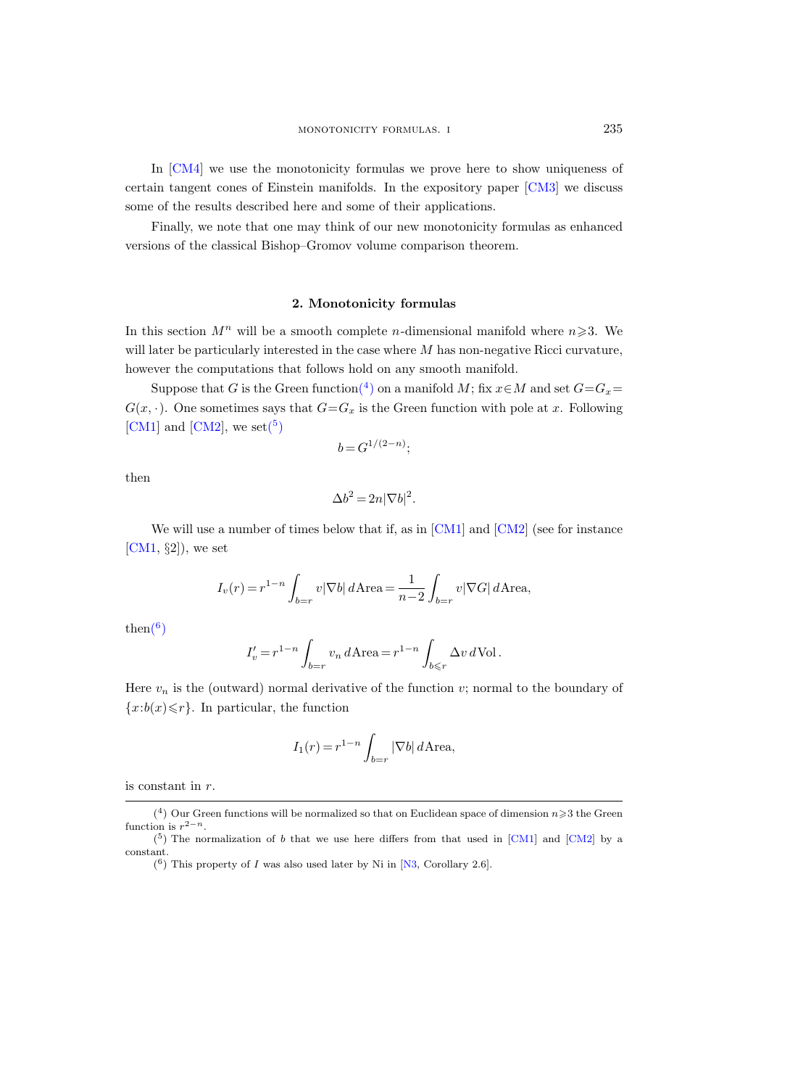<span id="page-6-0"></span>In [\[CM4\]](#page-33-0) we use the monotonicity formulas we prove here to show uniqueness of certain tangent cones of Einstein manifolds. In the expository paper [\[CM3\]](#page-33-0) we discuss some of the results described here and some of their applications.

Finally, we note that one may think of our new monotonicity formulas as enhanced versions of the classical Bishop–Gromov volume comparison theorem.

# 2. Monotonicity formulas

In this section  $M^n$  will be a smooth complete *n*-dimensional manifold where  $n \geq 3$ . We will later be particularly interested in the case where  $M$  has non-negative Ricci curvature, however the computations that follows hold on any smooth manifold.

Suppose that G is the Green function<sup>(4</sup>) on a manifold M; fix  $x \in M$  and set  $G = G_x$  $G(x, \cdot)$ . One sometimes says that  $G = G_x$  is the Green function with pole at x. Following [\[CM1\]](#page-33-0) and [\[CM2\]](#page-33-0), we set( $5$ )

$$
b = G^{1/(2-n)};
$$

then

$$
\Delta b^2 = 2n|\nabla b|^2.
$$

We will use a number of times below that if, as in  $\text{[CMI]}$  and  $\text{[CMI]}$  (see for instance  $[CM1, §2]$  $[CM1, §2]$ , we set

$$
I_v(r) = r^{1-n} \int_{b=r} v|\nabla b| d\text{Area} = \frac{1}{n-2} \int_{b=r} v|\nabla G| d\text{Area},
$$

 $then<sup>(6)</sup>$ 

$$
I'_v = r^{1-n} \int_{b=r} v_n d\text{Area} = r^{1-n} \int_{b \leq r} \Delta v d\text{Vol}.
$$

Here  $v_n$  is the (outward) normal derivative of the function v; normal to the boundary of  ${x:b(x)}\leq r$ . In particular, the function

$$
I_1(r) = r^{1-n} \int_{b=r} |\nabla b| d\text{Area},
$$

is constant in r.

<sup>(&</sup>lt;sup>4</sup>) Our Green functions will be normalized so that on Euclidean space of dimension  $n\geqslant 3$  the Green function is  $r^{2-n}$ .

 $(5)$  The normalization of b that we use here differs from that used in [\[CM1\]](#page-33-0) and [\[CM2\]](#page-33-0) by a constant.

 $(6)$  This property of I was also used later by Ni in [\[N3,](#page-34-0) Corollary 2.6].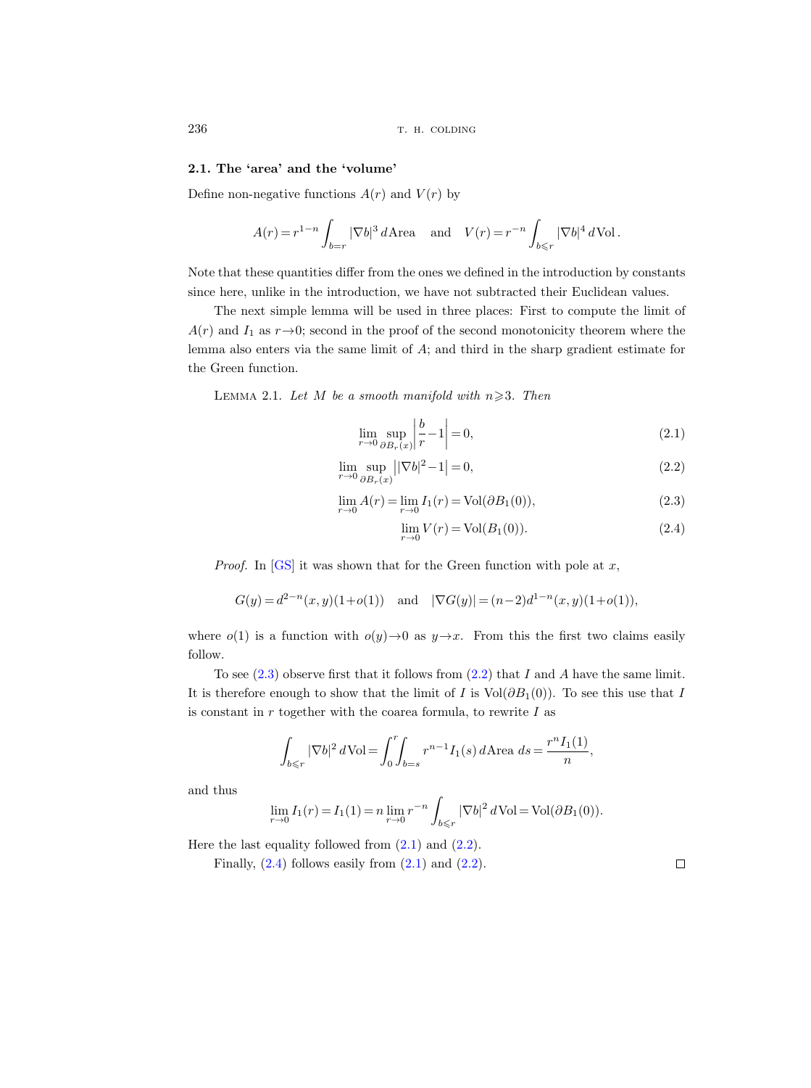# 2.1. The 'area' and the 'volume'

Define non-negative functions  $A(r)$  and  $V(r)$  by

$$
A(r) = r^{1-n} \int_{b=r} |\nabla b|^3 d\mathbf{Area} \quad \text{and} \quad V(r) = r^{-n} \int_{b \le r} |\nabla b|^4 d\mathbf{Vol}.
$$

Note that these quantities differ from the ones we defined in the introduction by constants since here, unlike in the introduction, we have not subtracted their Euclidean values.

The next simple lemma will be used in three places: First to compute the limit of  $A(r)$  and  $I_1$  as  $r \rightarrow 0$ ; second in the proof of the second monotonicity theorem where the lemma also enters via the same limit of A; and third in the sharp gradient estimate for the Green function.

LEMMA 2.1. Let M be a smooth manifold with  $n \geqslant 3$ . Then

$$
\lim_{r \to 0} \sup_{\partial B_r(x)} \left| \frac{b}{r} - 1 \right| = 0,\tag{2.1}
$$

$$
\lim_{r \to 0} \sup_{\partial B_r(x)} ||\nabla b|^2 - 1 = 0,\tag{2.2}
$$

$$
\lim_{r \to 0} A(r) = \lim_{r \to 0} I_1(r) = Vol(\partial B_1(0)),
$$
\n(2.3)

$$
\lim_{r \to 0} V(r) = \text{Vol}(B_1(0)).\tag{2.4}
$$

*Proof.* In  $[GS]$  it was shown that for the Green function with pole at x,

$$
G(y) = d^{2-n}(x, y)(1+o(1))
$$
 and  $|\nabla G(y)| = (n-2)d^{1-n}(x, y)(1+o(1)),$ 

where  $o(1)$  is a function with  $o(y) \rightarrow 0$  as  $y \rightarrow x$ . From this the first two claims easily follow.

To see  $(2.3)$  observe first that it follows from  $(2.2)$  that I and A have the same limit. It is therefore enough to show that the limit of I is  $Vol(\partial B_1(0))$ . To see this use that I is constant in  $r$  together with the coarea formula, to rewrite  $I$  as

$$
\int_{b \le r} |\nabla b|^2 d\text{Vol} = \int_0^r \int_{b=s} r^{n-1} I_1(s) d\text{Area} \, ds = \frac{r^n I_1(1)}{n},
$$

and thus

$$
\lim_{r \to 0} I_1(r) = I_1(1) = n \lim_{r \to 0} r^{-n} \int_{b \le r} |\nabla b|^2 d\text{Vol} = \text{Vol}(\partial B_1(0)).
$$

Here the last equality followed from  $(2.1)$  and  $(2.2)$ .

Finally,  $(2.4)$  follows easily from  $(2.1)$  and  $(2.2)$ .

<span id="page-7-0"></span>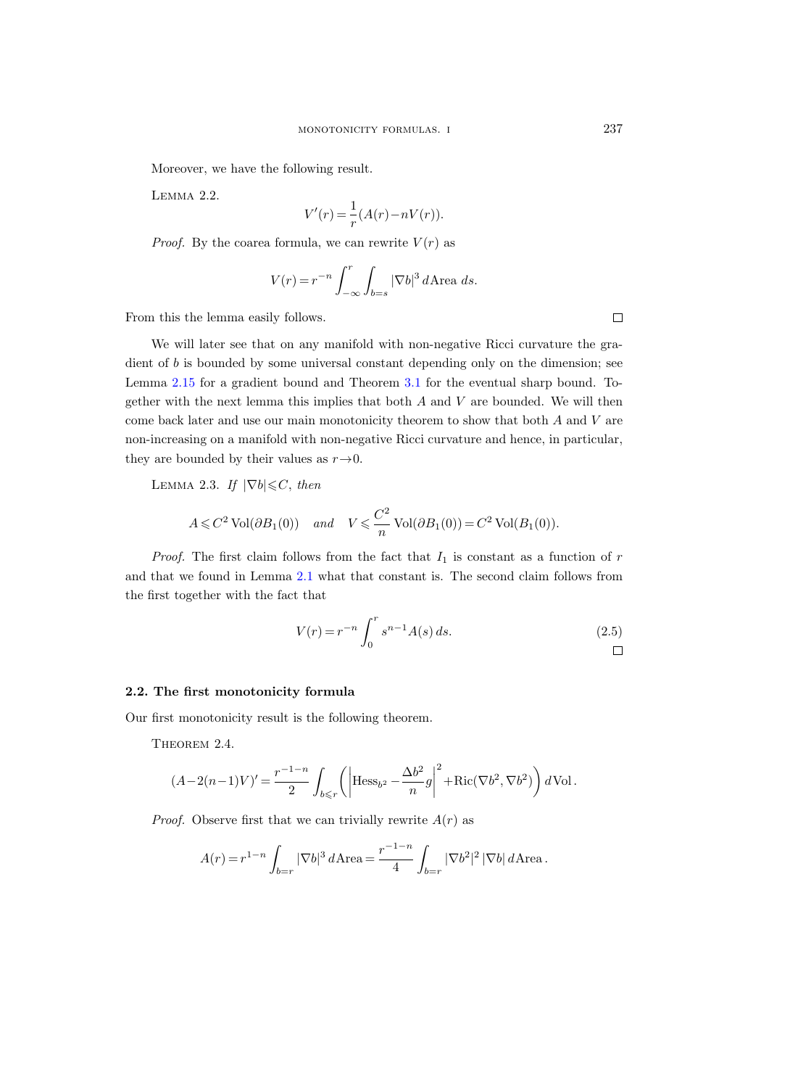<span id="page-8-0"></span>Moreover, we have the following result.

Lemma 2.2.

$$
V'(r) = \frac{1}{r}(A(r) - nV(r)).
$$

*Proof.* By the coarea formula, we can rewrite  $V(r)$  as

$$
V(r) = r^{-n} \int_{-\infty}^{r} \int_{b=s} |\nabla b|^3 d\mathbf{Area} \, ds.
$$

From this the lemma easily follows.

We will later see that on any manifold with non-negative Ricci curvature the gradient of b is bounded by some universal constant depending only on the dimension; see Lemma [2.15](#page-15-0) for a gradient bound and Theorem [3.1](#page-18-0) for the eventual sharp bound. Together with the next lemma this implies that both  $A$  and  $V$  are bounded. We will then come back later and use our main monotonicity theorem to show that both A and V are non-increasing on a manifold with non-negative Ricci curvature and hence, in particular, they are bounded by their values as  $r \rightarrow 0$ .

LEMMA 2.3. If  $|\nabla b| \leq C$ , then

$$
A \leq C^2 \operatorname{Vol}(\partial B_1(0)) \quad \text{and} \quad V \leq C^2 \operatorname{Vol}(\partial B_1(0)) = C^2 \operatorname{Vol}(B_1(0)).
$$

*Proof.* The first claim follows from the fact that  $I_1$  is constant as a function of  $r$ and that we found in Lemma [2.1](#page-7-0) what that constant is. The second claim follows from the first together with the fact that

$$
V(r) = r^{-n} \int_0^r s^{n-1} A(s) ds.
$$
 (2.5)

#### 2.2. The first monotonicity formula

Our first monotonicity result is the following theorem.

THEOREM 2.4.

$$
(A-2(n-1)V)' = \frac{r^{-1-n}}{2} \int_{b\leq r} \left( \left| \text{Hess}_{b^2} - \frac{\Delta b^2}{n} g \right|^2 + \text{Ric}(\nabla b^2, \nabla b^2) \right) d\text{Vol}.
$$

*Proof.* Observe first that we can trivially rewrite  $A(r)$  as

$$
A(r) = r^{1-n} \int_{b=r} |\nabla b|^3 d\text{Area} = \frac{r^{-1-n}}{4} \int_{b=r} |\nabla b^2|^2 |\nabla b| d\text{Area}.
$$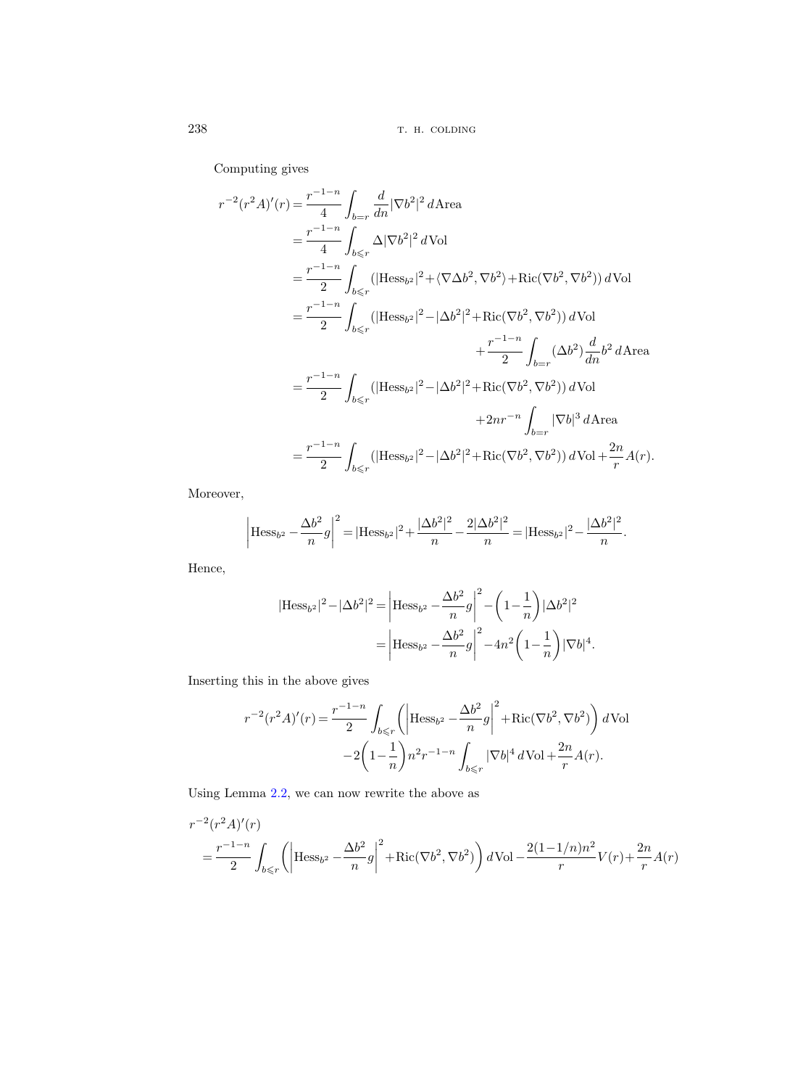Computing gives

$$
r^{-2}(r^{2}A)'(r) = \frac{r^{-1-n}}{4} \int_{b=r} \frac{d}{dn} |\nabla b^{2}|^{2} d\mathbf{A} \text{rea}
$$
  
\n
$$
= \frac{r^{-1-n}}{4} \int_{b\leq r} \Delta |\nabla b^{2}|^{2} d\mathbf{Vol}
$$
  
\n
$$
= \frac{r^{-1-n}}{2} \int_{b\leq r} (|\text{Hess}_{b^{2}}|^{2} + \langle \nabla \Delta b^{2}, \nabla b^{2} \rangle + \text{Ric}(\nabla b^{2}, \nabla b^{2})) d\mathbf{Vol}
$$
  
\n
$$
= \frac{r^{-1-n}}{2} \int_{b\leq r} (|\text{Hess}_{b^{2}}|^{2} - |\Delta b^{2}|^{2} + \text{Ric}(\nabla b^{2}, \nabla b^{2})) d\mathbf{Vol}
$$
  
\n
$$
+ \frac{r^{-1-n}}{2} \int_{b=r} (\Delta b^{2}) \frac{d}{dn} b^{2} d\mathbf{A} \text{rea}
$$
  
\n
$$
= \frac{r^{-1-n}}{2} \int_{b\leq r} (|\text{Hess}_{b^{2}}|^{2} - |\Delta b^{2}|^{2} + \text{Ric}(\nabla b^{2}, \nabla b^{2})) d\mathbf{Vol}
$$
  
\n
$$
+ 2nr^{-n} \int_{b=r} |\nabla b|^{3} d\mathbf{A} \text{rea}
$$
  
\n
$$
= \frac{r^{-1-n}}{2} \int_{b\leq r} (|\text{Hess}_{b^{2}}|^{2} - |\Delta b^{2}|^{2} + \text{Ric}(\nabla b^{2}, \nabla b^{2})) d\mathbf{Vol} + \frac{2n}{r} A(r).
$$

Moreover,

$$
\left|\text{Hess}_{b^2} - \frac{\Delta b^2}{n}g\right|^2 = |\text{Hess}_{b^2}|^2 + \frac{|\Delta b^2|^2}{n} - \frac{2|\Delta b^2|^2}{n} = |\text{Hess}_{b^2}|^2 - \frac{|\Delta b^2|^2}{n}.
$$

Hence,

$$
|\text{Hess}_{b^2}|^2 - |\Delta b^2|^2 = \left| \text{Hess}_{b^2} - \frac{\Delta b^2}{n} g \right|^2 - \left( 1 - \frac{1}{n} \right) |\Delta b^2|^2
$$

$$
= \left| \text{Hess}_{b^2} - \frac{\Delta b^2}{n} g \right|^2 - 4n^2 \left( 1 - \frac{1}{n} \right) |\nabla b|^4.
$$

Inserting this in the above gives

$$
r^{-2}(r^{2}A)'(r) = \frac{r^{-1-n}}{2} \int_{b\leq r} \left( \left| \text{Hess}_{b^{2}} - \frac{\Delta b^{2}}{n} g \right|^{2} + \text{Ric}(\nabla b^{2}, \nabla b^{2}) \right) d\text{Vol} - 2\left(1 - \frac{1}{n}\right) n^{2} r^{-1-n} \int_{b\leq r} |\nabla b|^{4} d\text{Vol} + \frac{2n}{r} A(r).
$$

Using Lemma [2.2,](#page-8-0) we can now rewrite the above as

$$
r^{-2}(r^{2}A)'(r)
$$
  
=  $\frac{r^{-1-n}}{2} \int_{b \le r} \left( \left| \text{Hess}_{b^{2}} - \frac{\Delta b^{2}}{n} g \right|^{2} + \text{Ric}(\nabla b^{2}, \nabla b^{2}) \right) d\text{Vol} - \frac{2(1 - 1/n)n^{2}}{r} V(r) + \frac{2n}{r} A(r)$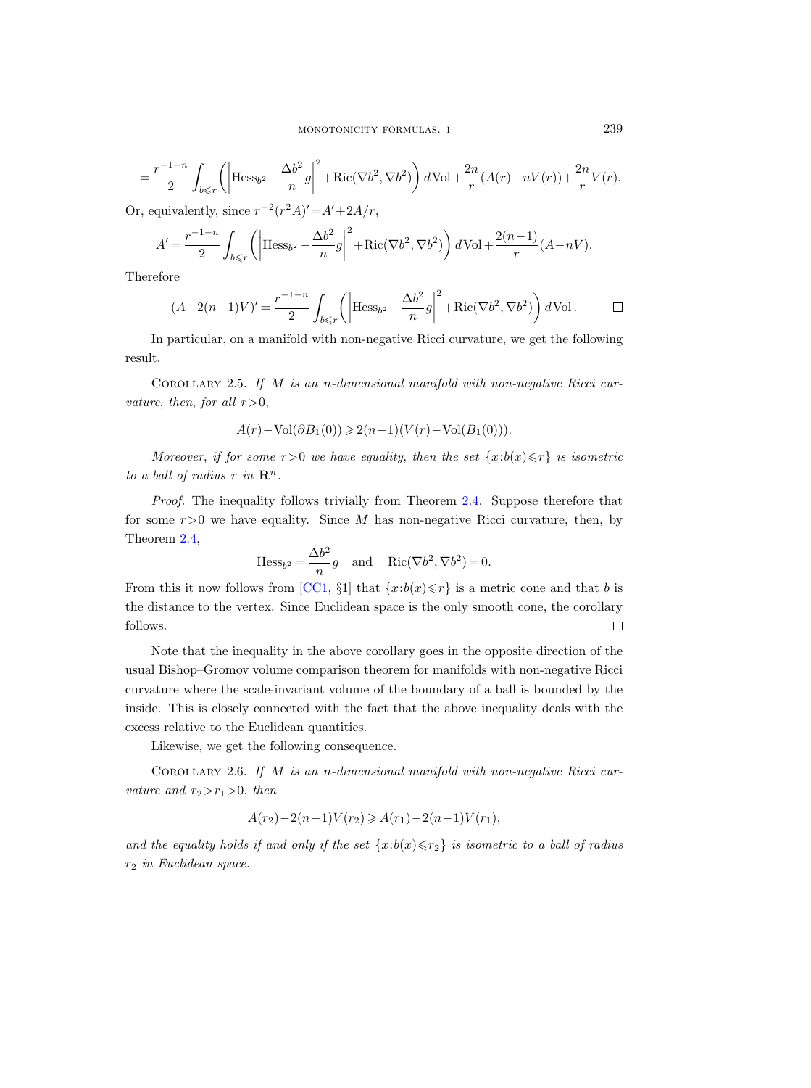$$
=\frac{r^{-1-n}}{2}\int_{b\leqslant r}\left(\left|\mathrm{Hess}_{b^{2}}-\frac{\Delta b^{2}}{n}g\right|^{2}+\mathrm{Ric}(\nabla b^{2},\nabla b^{2})\right)d\mathrm{Vol}+\frac{2n}{r}(A(r)-nV(r))+\frac{2n}{r}V(r).
$$

Or, equivalently, since  $r^{-2}(r^2A)' = A' + 2A/r$ ,

$$
A' = \frac{r^{-1-n}}{2} \int_{b \le r} \left( \left| \text{Hess}_{b^2} - \frac{\Delta b^2}{n} g \right|^2 + \text{Ric}(\nabla b^2, \nabla b^2) \right) d\text{Vol} + \frac{2(n-1)}{r} (A - nV).
$$

Therefore

$$
(A-2(n-1)V)' = \frac{r^{-1-n}}{2} \int_{b \le r} \left( \left| \text{Hess}_{b^2} - \frac{\Delta b^2}{n} g \right|^2 + \text{Ric}(\nabla b^2, \nabla b^2) \right) d\text{Vol}. \qquad \Box
$$

In particular, on a manifold with non-negative Ricci curvature, we get the following result.

COROLLARY 2.5. If  $M$  is an n-dimensional manifold with non-negative Ricci curvature, then, for all  $r>0$ ,

$$
A(r)-\operatorname{Vol}(\partial B_1(0))\geqslant 2(n-1)(V(r)-\operatorname{Vol}(B_1(0))).
$$

Moreover, if for some  $r>0$  we have equality, then the set  $\{x:b(x)\leq r\}$  is isometric to a ball of radius r in  $\mathbf{R}^n$ .

Proof. The inequality follows trivially from Theorem [2.4.](#page-8-0) Suppose therefore that for some  $r>0$  we have equality. Since M has non-negative Ricci curvature, then, by Theorem [2.4,](#page-8-0)

$$
\text{Hess}_{b^2} = \frac{\Delta b^2}{n}g \quad \text{and} \quad \text{Ric}(\nabla b^2, \nabla b^2) = 0.
$$

From this it now follows from [\[CC1,](#page-33-0) §1] that  $\{x:b(x)\leq r\}$  is a metric cone and that b is the distance to the vertex. Since Euclidean space is the only smooth cone, the corollary follows.  $\Box$ 

Note that the inequality in the above corollary goes in the opposite direction of the usual Bishop–Gromov volume comparison theorem for manifolds with non-negative Ricci curvature where the scale-invariant volume of the boundary of a ball is bounded by the inside. This is closely connected with the fact that the above inequality deals with the excess relative to the Euclidean quantities.

Likewise, we get the following consequence.

COROLLARY 2.6. If  $M$  is an n-dimensional manifold with non-negative Ricci curvature and  $r_2>r_1>0$ , then

$$
A(r_2) - 2(n-1)V(r_2) \geqslant A(r_1) - 2(n-1)V(r_1),
$$

and the equality holds if and only if the set  $\{x:b(x) \le r_2\}$  is isometric to a ball of radius r<sup>2</sup> in Euclidean space.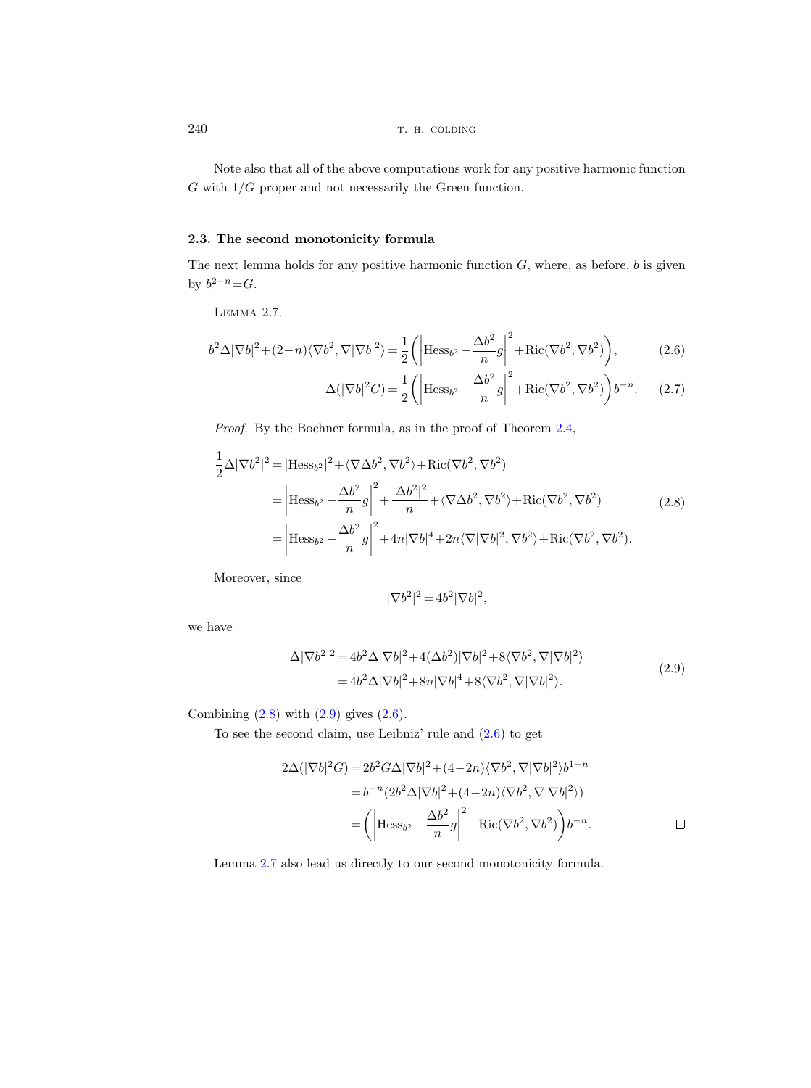Note also that all of the above computations work for any positive harmonic function  $G$  with  $1/G$  proper and not necessarily the Green function.

# 2.3. The second monotonicity formula

The next lemma holds for any positive harmonic function  $G$ , where, as before,  $b$  is given by  $b^{2-n} = G$ .

Lemma 2.7.

$$
b^2 \Delta |\nabla b|^2 + (2 - n)\langle \nabla b^2, \nabla |\nabla b|^2 \rangle = \frac{1}{2} \left( \left| \text{Hess}_{b^2} - \frac{\Delta b^2}{n} g \right|^2 + \text{Ric}(\nabla b^2, \nabla b^2) \right),\tag{2.6}
$$

$$
\Delta(|\nabla b|^2 G) = \frac{1}{2} \left( \left| \text{Hess}_{b^2} - \frac{\Delta b^2}{n} g \right|^2 + \text{Ric}(\nabla b^2, \nabla b^2) \right) b^{-n}.
$$
 (2.7)

Proof. By the Bochner formula, as in the proof of Theorem [2.4,](#page-8-0)

$$
\frac{1}{2}\Delta|\nabla b^2|^2 = |\text{Hess}_{b^2}|^2 + \langle \nabla \Delta b^2, \nabla b^2 \rangle + \text{Ric}(\nabla b^2, \nabla b^2)
$$
\n
$$
= \left| \text{Hess}_{b^2} - \frac{\Delta b^2}{n} g \right|^2 + \frac{|\Delta b^2|^2}{n} + \langle \nabla \Delta b^2, \nabla b^2 \rangle + \text{Ric}(\nabla b^2, \nabla b^2)
$$
\n
$$
= \left| \text{Hess}_{b^2} - \frac{\Delta b^2}{n} g \right|^2 + 4n|\nabla b|^4 + 2n\langle \nabla |\nabla b|^2, \nabla b^2 \rangle + \text{Ric}(\nabla b^2, \nabla b^2).
$$
\n(2.8)

Moreover, since

$$
|\nabla b^2|^2 = 4b^2|\nabla b|^2,
$$

we have

$$
\Delta |\nabla b^2|^2 = 4b^2 \Delta |\nabla b|^2 + 4(\Delta b^2) |\nabla b|^2 + 8\langle \nabla b^2, \nabla |\nabla b|^2 \rangle
$$
  
= 
$$
4b^2 \Delta |\nabla b|^2 + 8n |\nabla b|^4 + 8\langle \nabla b^2, \nabla |\nabla b|^2 \rangle.
$$
 (2.9)

Combining  $(2.8)$  with  $(2.9)$  gives  $(2.6)$ .

To see the second claim, use Leibniz' rule and (2.6) to get

$$
2\Delta(|\nabla b|^2 G) = 2b^2 G \Delta |\nabla b|^2 + (4 - 2n)\langle \nabla b^2, \nabla |\nabla b|^2 \rangle b^{1-n}
$$
  
=  $b^{-n} (2b^2 \Delta |\nabla b|^2 + (4 - 2n)\langle \nabla b^2, \nabla |\nabla b|^2 \rangle)$   
=  $\left( \left| \text{Hess}_{b^2} - \frac{\Delta b^2}{n} g \right|^2 + \text{Ric}(\nabla b^2, \nabla b^2) \right) b^{-n}.$ 

Lemma 2.7 also lead us directly to our second monotonicity formula.

<span id="page-11-0"></span>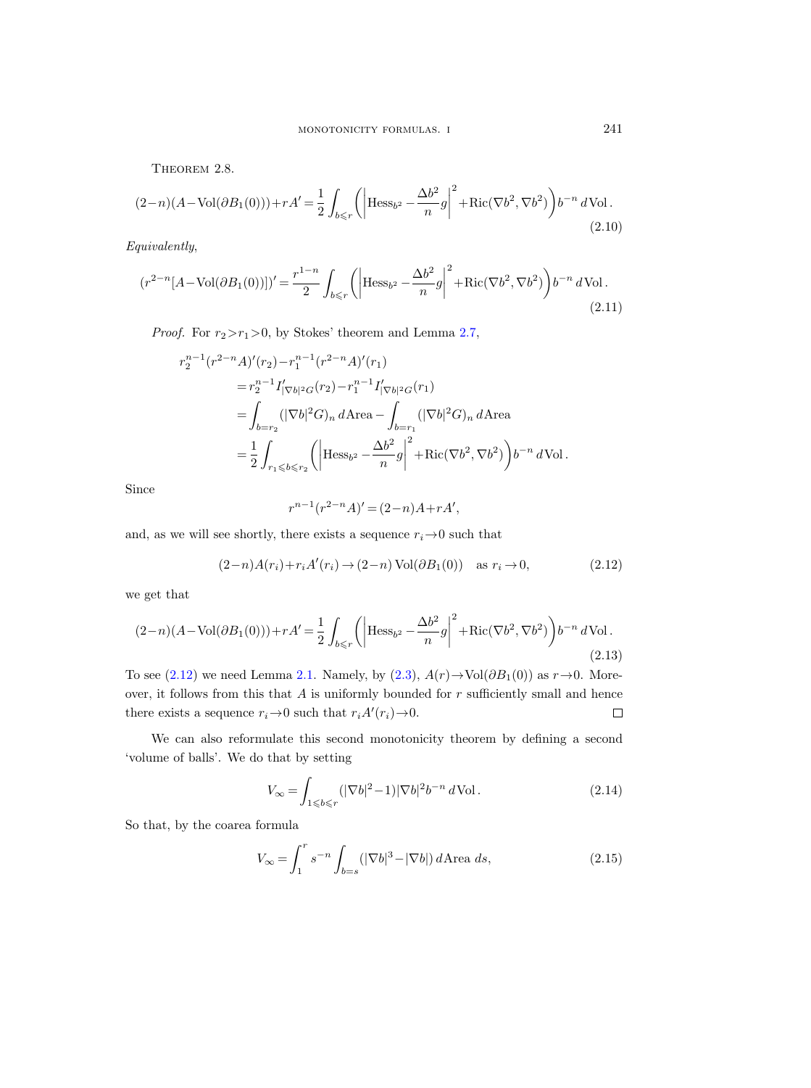<span id="page-12-0"></span>THEOREM 2.8.

$$
(2-n)(A-\text{Vol}(\partial B_1(0))) + rA' = \frac{1}{2} \int_{b \le r} \left( \left| \text{Hess}_{b^2} - \frac{\Delta b^2}{n} g \right|^2 + \text{Ric}(\nabla b^2, \nabla b^2) \right) b^{-n} d\text{Vol}.
$$
\n(2.10)

Equivalently,

$$
(r^{2-n}[A-\text{Vol}(\partial B_1(0))])' = \frac{r^{1-n}}{2} \int_{b \le r} \left( \left| \text{Hess}_{b^2} - \frac{\Delta b^2}{n} g \right|^2 + \text{Ric}(\nabla b^2, \nabla b^2) \right) b^{-n} d\text{Vol}.
$$
\n(2.11)

*Proof.* For  $r_2 > r_1 > 0$ , by Stokes' theorem and Lemma [2.7,](#page-11-0)

$$
r_2^{n-1}(r^{2-n}A)'(r_2) - r_1^{n-1}(r^{2-n}A)'(r_1)
$$
  
\n
$$
= r_2^{n-1}I'_{|\nabla b|^2G}(r_2) - r_1^{n-1}I'_{|\nabla b|^2G}(r_1)
$$
  
\n
$$
= \int_{b=r_2} (|\nabla b|^2 G)_n d\text{Area} - \int_{b=r_1} (|\nabla b|^2 G)_n d\text{Area}
$$
  
\n
$$
= \frac{1}{2} \int_{r_1 \leqslant b \leqslant r_2} \left( \left| \text{Hess}_{b^2} - \frac{\Delta b^2}{n} g \right|^2 + \text{Ric}(\nabla b^2, \nabla b^2) \right) b^{-n} d\text{Vol}.
$$

Since

$$
r^{n-1}(r^{2-n}A)' = (2-n)A + rA',
$$

and, as we will see shortly, there exists a sequence  $r_i \rightarrow 0$  such that

$$
(2-n)A(r_i) + r_iA'(r_i) \rightarrow (2-n)\text{Vol}(\partial B_1(0)) \quad \text{as } r_i \rightarrow 0,
$$
\n
$$
(2.12)
$$

we get that

$$
(2-n)(A-\text{Vol}(\partial B_1(0))) + rA' = \frac{1}{2} \int_{b \le r} \left( \left| \text{Hess}_{b^2} - \frac{\Delta b^2}{n} g \right|^2 + \text{Ric}(\nabla b^2, \nabla b^2) \right) b^{-n} d\text{Vol}.
$$
\n(2.13)

To see (2.12) we need Lemma [2.1.](#page-7-0) Namely, by [\(2.3\)](#page-7-0),  $A(r) \rightarrow Vol(\partial B_1(0))$  as  $r \rightarrow 0$ . Moreover, it follows from this that  $A$  is uniformly bounded for  $r$  sufficiently small and hence there exists a sequence  $r_i \rightarrow 0$  such that  $r_i A'(r_i) \rightarrow 0$ .  $\Box$ 

We can also reformulate this second monotonicity theorem by defining a second 'volume of balls'. We do that by setting

$$
V_{\infty} = \int_{1 \leqslant b \leqslant r} (|\nabla b|^2 - 1)|\nabla b|^2 b^{-n} d\text{Vol}.
$$
 (2.14)

So that, by the coarea formula

$$
V_{\infty} = \int_{1}^{r} s^{-n} \int_{b=s} (|\nabla b|^{3} - |\nabla b|) d\text{Area } ds,
$$
\n(2.15)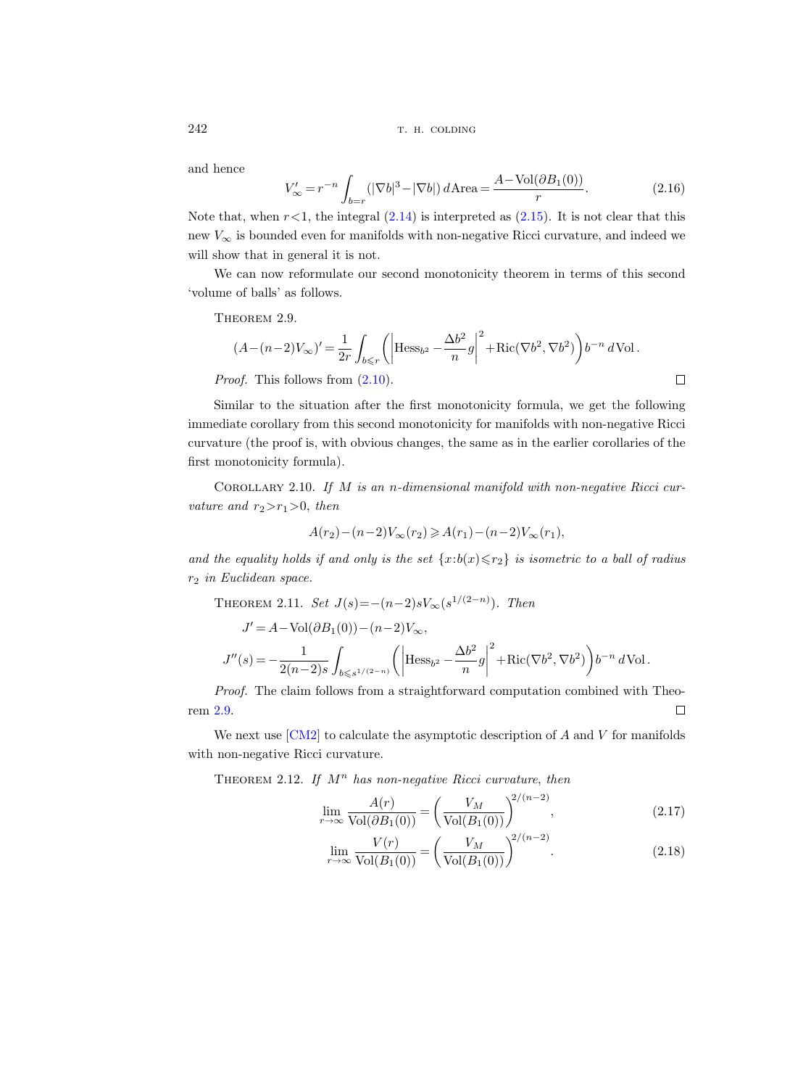and hence

$$
V'_{\infty} = r^{-n} \int_{b=r} (|\nabla b|^3 - |\nabla b|) d\text{Area} = \frac{A - \text{Vol}(\partial B_1(0))}{r}.
$$
 (2.16)

Note that, when  $r<1$ , the integral  $(2.14)$  is interpreted as  $(2.15)$ . It is not clear that this new  $V_{\infty}$  is bounded even for manifolds with non-negative Ricci curvature, and indeed we will show that in general it is not.

We can now reformulate our second monotonicity theorem in terms of this second 'volume of balls' as follows.

THEOREM 2.9.

$$
(A - (n-2)V_{\infty})' = \frac{1}{2r} \int_{b \le r} \left( \left| \text{Hess}_{b^2} - \frac{\Delta b^2}{n} g \right|^2 + \text{Ric}(\nabla b^2, \nabla b^2) \right) b^{-n} d\text{Vol}.
$$
  
*Proof.* This follows from (2.10).

Similar to the situation after the first monotonicity formula, we get the following immediate corollary from this second monotonicity for manifolds with non-negative Ricci curvature (the proof is, with obvious changes, the same as in the earlier corollaries of the first monotonicity formula).

COROLLARY 2.10. If  $M$  is an n-dimensional manifold with non-negative Ricci curvature and  $r_2>r_1>0$ , then

$$
A(r_2) - (n-2)V_{\infty}(r_2) \ge A(r_1) - (n-2)V_{\infty}(r_1),
$$

and the equality holds if and only is the set  $\{x:b(x) \leq r_2\}$  is isometric to a ball of radius r<sup>2</sup> in Euclidean space.

THEOREM 2.11. Set  $J(s) = -(n-2)sV_{\infty}(s^{1/(2-n)})$ . Then

$$
\begin{split} J' & = A - \text{Vol}(\partial B_1(0)) - (n-2) V_\infty, \\ J''(s) & = - \frac{1}{2(n-2)s} \int_{b \leqslant s^{1/(2-n)}} \left( \left| \text{Hess}_{b^2} - \frac{\Delta b^2}{n} g \right|^2 + \text{Ric}(\nabla b^2, \nabla b^2) \right) b^{-n} \, d\text{Vol} \,. \end{split}
$$

Proof. The claim follows from a straightforward computation combined with Theorem 2.9.  $\Box$ 

We next use  $\lfloor \text{CM2} \rfloor$  to calculate the asymptotic description of  $A$  and  $V$  for manifolds with non-negative Ricci curvature.

THEOREM 2.12. If  $M^n$  has non-negative Ricci curvature, then

$$
\lim_{r \to \infty} \frac{A(r)}{\text{Vol}(\partial B_1(0))} = \left(\frac{V_M}{\text{Vol}(B_1(0))}\right)^{2/(n-2)},\tag{2.17}
$$

$$
\lim_{r \to \infty} \frac{V(r)}{\text{Vol}(B_1(0))} = \left(\frac{V_M}{\text{Vol}(B_1(0))}\right)^{2/(n-2)}.\tag{2.18}
$$

<span id="page-13-0"></span>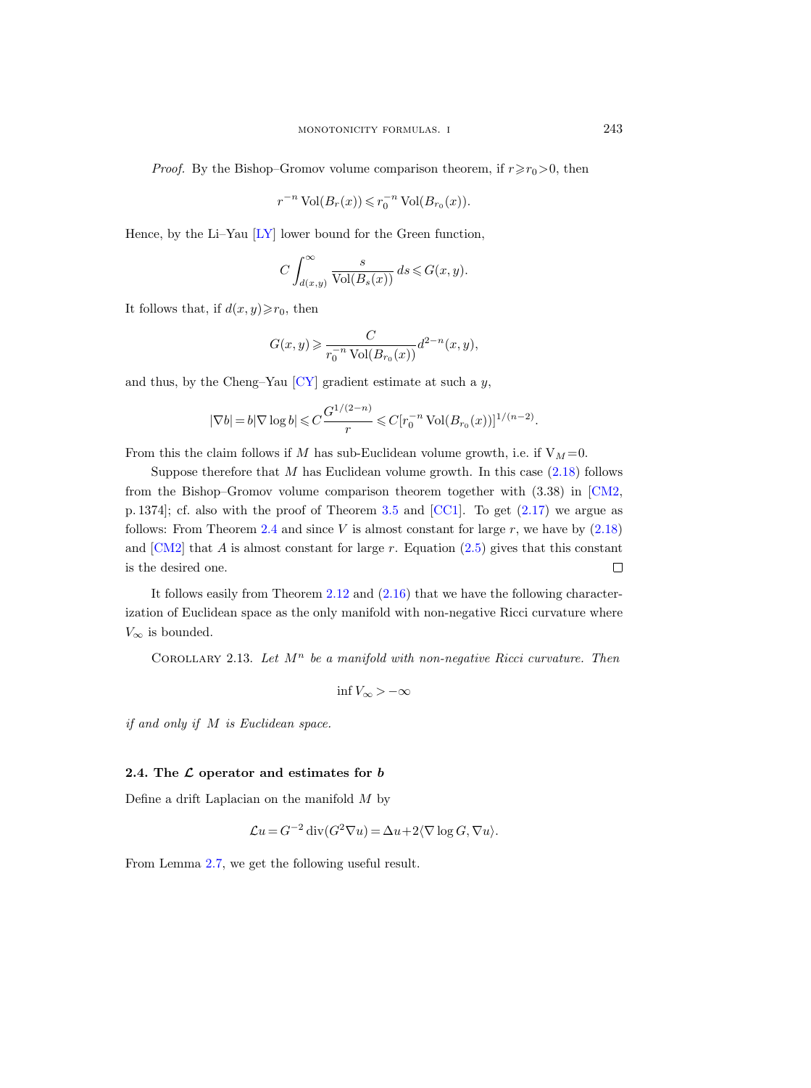<span id="page-14-0"></span>*Proof.* By the Bishop–Gromov volume comparison theorem, if  $r \ge r_0 > 0$ , then

$$
r^{-n}\operatorname{Vol}(B_r(x)) \leqslant r_0^{-n}\operatorname{Vol}(B_{r_0}(x)).
$$

Hence, by the Li–Yau [\[LY\]](#page-33-0) lower bound for the Green function,

$$
C\int_{d(x,y)}^{\infty}\frac{s}{\text{Vol}(B_s(x))}\,ds\leqslant G(x,y).
$$

It follows that, if  $d(x, y) \ge r_0$ , then

$$
G(x, y) \ge \frac{C}{r_0^{-n} \operatorname{Vol}(B_{r_0}(x))} d^{2-n}(x, y),
$$

and thus, by the Cheng–Yau  $\left[ CY\right]$  gradient estimate at such a y,

$$
|\nabla b| = b|\nabla \log b| \leq C \frac{G^{1/(2-n)}}{r} \leq C[r_0^{-n} \text{ Vol}(B_{r_0}(x))]^{1/(n-2)}.
$$

From this the claim follows if M has sub-Euclidean volume growth, i.e. if  $V_M = 0$ .

Suppose therefore that  $M$  has Euclidean volume growth. In this case  $(2.18)$  follows from the Bishop–Gromov volume comparison theorem together with (3.38) in [\[CM2,](#page-33-0) p. 1374]; cf. also with the proof of Theorem [3.5](#page-21-0) and [\[CC1\]](#page-33-0). To get [\(2.17\)](#page-13-0) we argue as follows: From Theorem [2.4](#page-8-0) and since V is almost constant for large  $r$ , we have by  $(2.18)$ and  $\text{[CM2]}$  $\text{[CM2]}$  $\text{[CM2]}$  that A is almost constant for large r. Equation [\(2.5\)](#page-8-0) gives that this constant is the desired one.  $\Box$ 

It follows easily from Theorem [2.12](#page-13-0) and [\(2.16\)](#page-13-0) that we have the following characterization of Euclidean space as the only manifold with non-negative Ricci curvature where  $V_{\infty}$  is bounded.

COROLLARY 2.13. Let  $M^n$  be a manifold with non-negative Ricci curvature. Then

$$
\inf V_{\infty} > -\infty
$$

if and only if M is Euclidean space.

#### 2.4. The  $\mathcal L$  operator and estimates for  $b$

Define a drift Laplacian on the manifold  $M$  by

$$
\mathcal{L}u = G^{-2} \operatorname{div} (G^2 \nabla u) = \Delta u + 2 \langle \nabla \log G, \nabla u \rangle.
$$

From Lemma [2.7,](#page-11-0) we get the following useful result.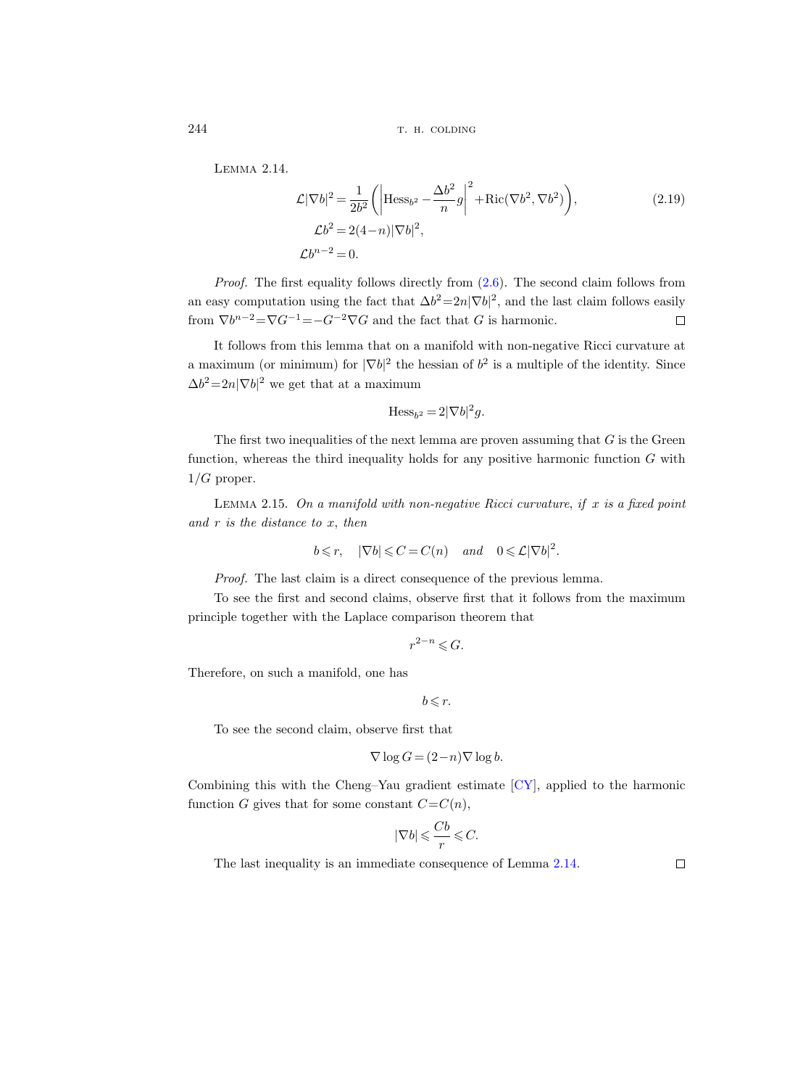Lemma 2.14.

$$
\mathcal{L}|\nabla b|^2 = \frac{1}{2b^2} \left( \left| \text{Hess}_{b^2} - \frac{\Delta b^2}{n} g \right|^2 + \text{Ric}(\nabla b^2, \nabla b^2) \right),
$$
\n
$$
\mathcal{L}b^2 = 2(4-n)|\nabla b|^2,
$$
\n
$$
\mathcal{L}b^{n-2} = 0.
$$
\n(2.19)

Proof. The first equality follows directly from  $(2.6)$ . The second claim follows from an easy computation using the fact that  $\Delta b^2 = 2n|\nabla b|^2$ , and the last claim follows easily from  $\nabla b^{n-2} = \nabla G^{-1} = -G^{-2} \nabla G$  and the fact that G is harmonic.  $\Box$ 

It follows from this lemma that on a manifold with non-negative Ricci curvature at a maximum (or minimum) for  $|\nabla b|^2$  the hessian of  $b^2$  is a multiple of the identity. Since  $\Delta b^2 = 2n|\nabla b|^2$  we get that at a maximum

$$
\mathrm{Hess}_{b^2} = 2|\nabla b|^2 g.
$$

The first two inequalities of the next lemma are proven assuming that  $G$  is the Green function, whereas the third inequality holds for any positive harmonic function  $G$  with  $1/G$  proper.

LEMMA 2.15. On a manifold with non-negative Ricci curvature, if  $x$  is a fixed point and  $r$  is the distance to  $x$ , then

$$
b \le r
$$
,  $|\nabla b| \le C = C(n)$  and  $0 \le \mathcal{L}|\nabla b|^2$ .

Proof. The last claim is a direct consequence of the previous lemma.

To see the first and second claims, observe first that it follows from the maximum principle together with the Laplace comparison theorem that

$$
r^{2-n} \leqslant G.
$$

Therefore, on such a manifold, one has

 $b \leqslant r$ .

To see the second claim, observe first that

$$
\nabla \log G = (2 - n) \nabla \log b.
$$

Combining this with the Cheng–Yau gradient estimate [\[CY\]](#page-33-0), applied to the harmonic function G gives that for some constant  $C=C(n)$ ,

$$
|\nabla b|\leqslant \frac{Cb}{r}\leqslant C.
$$

The last inequality is an immediate consequence of Lemma [2.14.](#page-14-0)

<span id="page-15-0"></span>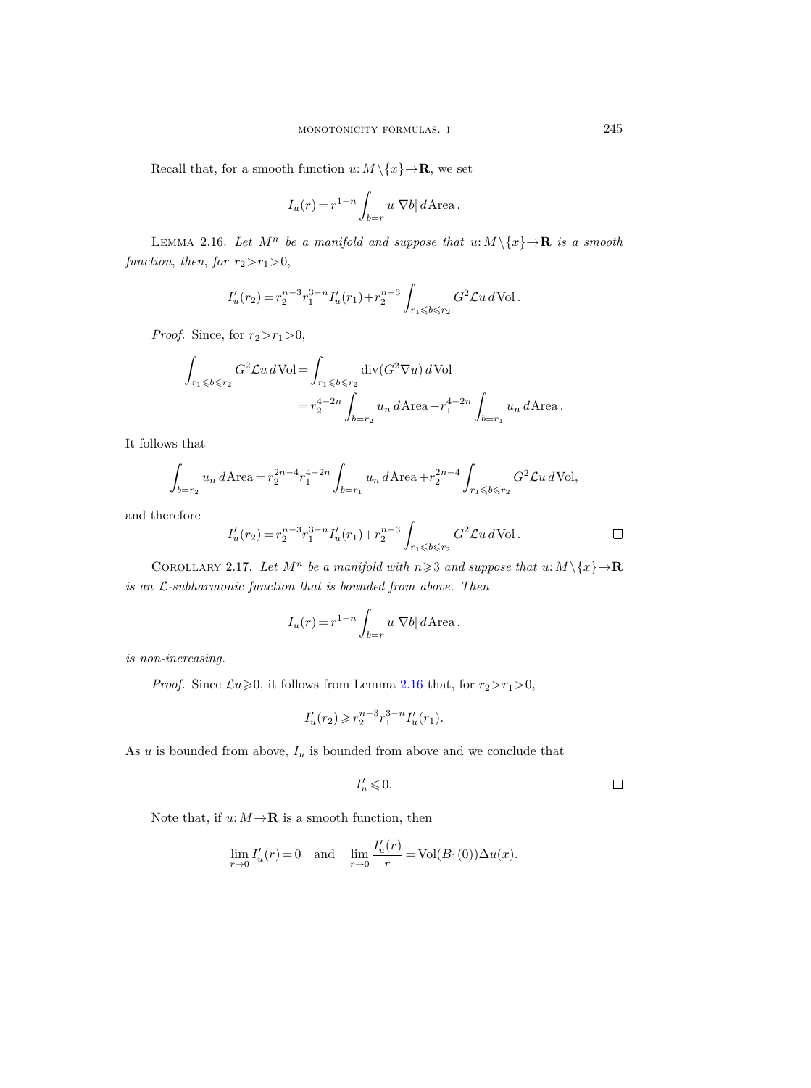<span id="page-16-0"></span>Recall that, for a smooth function  $u: M \setminus \{x\} \to \mathbf{R}$ , we set

$$
I_u(r) = r^{1-n} \int_{b=r} u |\nabla b| d\mathbf{Area}.
$$

LEMMA 2.16. Let  $M^n$  be a manifold and suppose that  $u: M \setminus \{x\} \to \mathbf{R}$  is a smooth function, then, for  $r_2>r_1>0$ ,

$$
I'_u(r_2) = r_2^{n-3} r_1^{3-n} I'_u(r_1) + r_2^{n-3} \int_{r_1 \leqslant b \leqslant r_2} G^2 \mathcal{L} u \, d\text{Vol}.
$$

*Proof.* Since, for  $r_2 > r_1 > 0$ ,

$$
\int_{r_1 \leqslant b \leqslant r_2} G^2 \mathcal{L} u \, d\text{Vol} = \int_{r_1 \leqslant b \leqslant r_2} \text{div}(G^2 \nabla u) \, d\text{Vol} \\
= r_2^{4-2n} \int_{b=r_2} u_n \, d\text{Area} - r_1^{4-2n} \int_{b=r_1} u_n \, d\text{Area} \, .
$$

It follows that

$$
\int_{b=r_2} u_n d\text{Area} = r_2^{2n-4} r_1^{4-2n} \int_{b=r_1} u_n d\text{Area} + r_2^{2n-4} \int_{r_1 \leqslant b \leqslant r_2} G^2 \mathcal{L} u d\text{Vol},
$$

and therefore

$$
I'_u(r_2) = r_2^{n-3} r_1^{3-n} I'_u(r_1) + r_2^{n-3} \int_{r_1 \leqslant b \leqslant r_2} G^2 \mathcal{L} u \, d\text{Vol} \,. \Box
$$

COROLLARY 2.17. Let  $M^n$  be a manifold with  $n \geq 3$  and suppose that  $u: M \setminus \{x\} \rightarrow \mathbf{R}$ is an L-subharmonic function that is bounded from above. Then

$$
I_u(r) = r^{1-n} \int_{b=r} u |\nabla b| d\text{Area}.
$$

is non-increasing.

*Proof.* Since  $\mathcal{L}u\geq0$ , it follows from Lemma 2.16 that, for  $r_2>r_1>0$ ,

$$
I_u'(r_2) \geqslant r_2^{n-3} r_1^{3-n} I_u'(r_1).
$$

As  $u$  is bounded from above,  $I_u$  is bounded from above and we conclude that

$$
I_u' \leqslant 0. \qquad \qquad \Box
$$

Note that, if  $u: M \to \mathbf{R}$  is a smooth function, then

$$
\lim_{r \to 0} I'_u(r) = 0
$$
 and  $\lim_{r \to 0} \frac{I'_u(r)}{r} = Vol(B_1(0)) \Delta u(x)$ .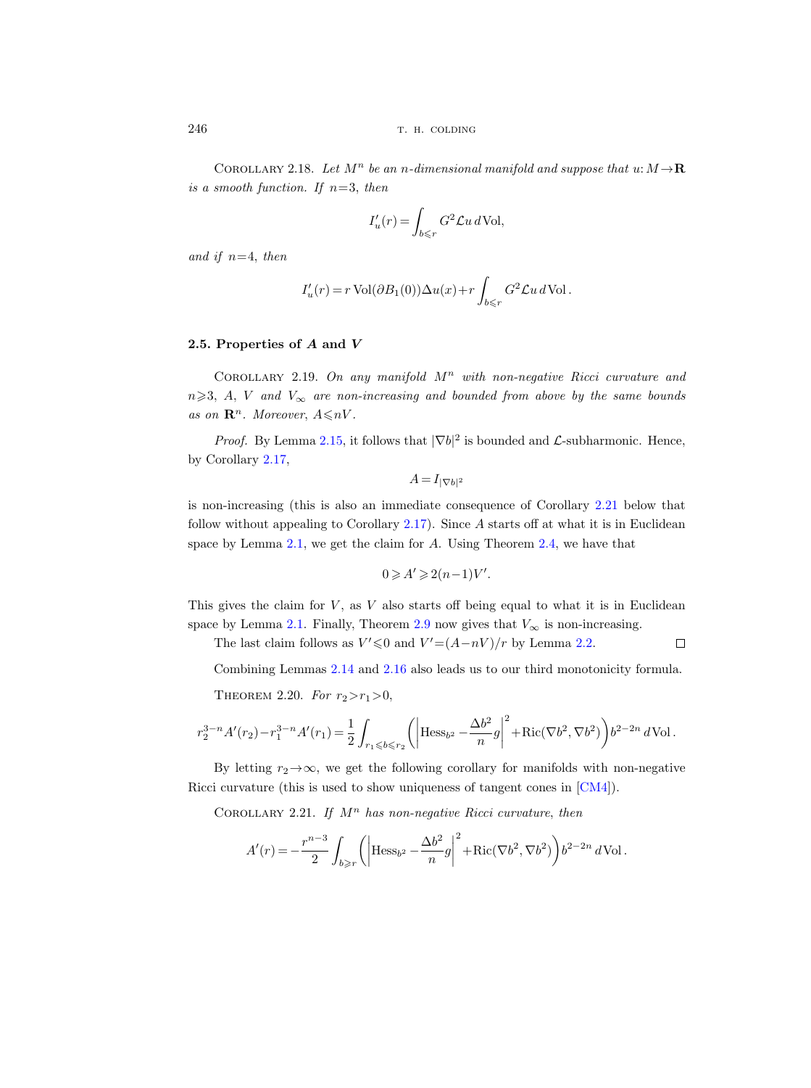COROLLARY 2.18. Let  $M^n$  be an n-dimensional manifold and suppose that  $u: M \to \mathbf{R}$ is a smooth function. If  $n=3$ , then

$$
I'_u(r) = \int_{b \leqslant r} G^2 \mathcal{L} u \, d\text{Vol},
$$

and if  $n=4$ , then

$$
I'_u(r) = r \operatorname{Vol}(\partial B_1(0)) \Delta u(x) + r \int_{b \le r} G^2 \mathcal{L} u \, d\operatorname{Vol}.
$$

# 2.5. Properties of A and V

COROLLARY 2.19. On any manifold  $M^n$  with non-negative Ricci curvature and  $n\geqslant 3$ , A, V and  $V_{\infty}$  are non-increasing and bounded from above by the same bounds as on  $\mathbf{R}^n$ . Moreover,  $A \leq nV$ .

*Proof.* By Lemma [2.15,](#page-15-0) it follows that  $|\nabla b|^2$  is bounded and *L*-subharmonic. Hence, by Corollary [2.17,](#page-16-0)

$$
A = I_{|\nabla b|^2}
$$

is non-increasing (this is also an immediate consequence of Corollary 2.21 below that follow without appealing to Corollary [2.17\)](#page-16-0). Since A starts off at what it is in Euclidean space by Lemma [2.1,](#page-7-0) we get the claim for A. Using Theorem [2.4,](#page-8-0) we have that

$$
0 \geqslant A' \geqslant 2(n-1)V'.
$$

This gives the claim for  $V$ , as  $V$  also starts off being equal to what it is in Euclidean space by Lemma [2.1.](#page-7-0) Finally, Theorem [2.9](#page-13-0) now gives that  $V_{\infty}$  is non-increasing.

The last claim follows as  $V' \le 0$  and  $V' = (A - nV)/r$  by Lemma [2.2.](#page-8-0)  $\Box$ 

Combining Lemmas [2.14](#page-14-0) and [2.16](#page-16-0) also leads us to our third monotonicity formula.

THEOREM 2.20. For  $r_2 > r_1 > 0$ ,

$$
r_2^{3-n}A'(r_2) - r_1^{3-n}A'(r_1) = \frac{1}{2} \int_{r_1 \leqslant b \leqslant r_2} \left( \left| \text{Hess}_{b^2} - \frac{\Delta b^2}{n} g \right|^2 + \text{Ric}(\nabla b^2, \nabla b^2) \right) b^{2-2n} d\text{Vol}.
$$

By letting  $r_2 \rightarrow \infty$ , we get the following corollary for manifolds with non-negative Ricci curvature (this is used to show uniqueness of tangent cones in [\[CM4\]](#page-33-0)).

COROLLARY 2.21. If  $M^n$  has non-negative Ricci curvature, then

$$
A'(r) = -\frac{r^{n-3}}{2} \int_{b\geqslant r} \left( \left| \text{Hess}_{b^2} - \frac{\Delta b^2}{n} g \right|^2 + \text{Ric}(\nabla b^2, \nabla b^2) \right) b^{2-2n} d\text{Vol}.
$$

<span id="page-17-0"></span>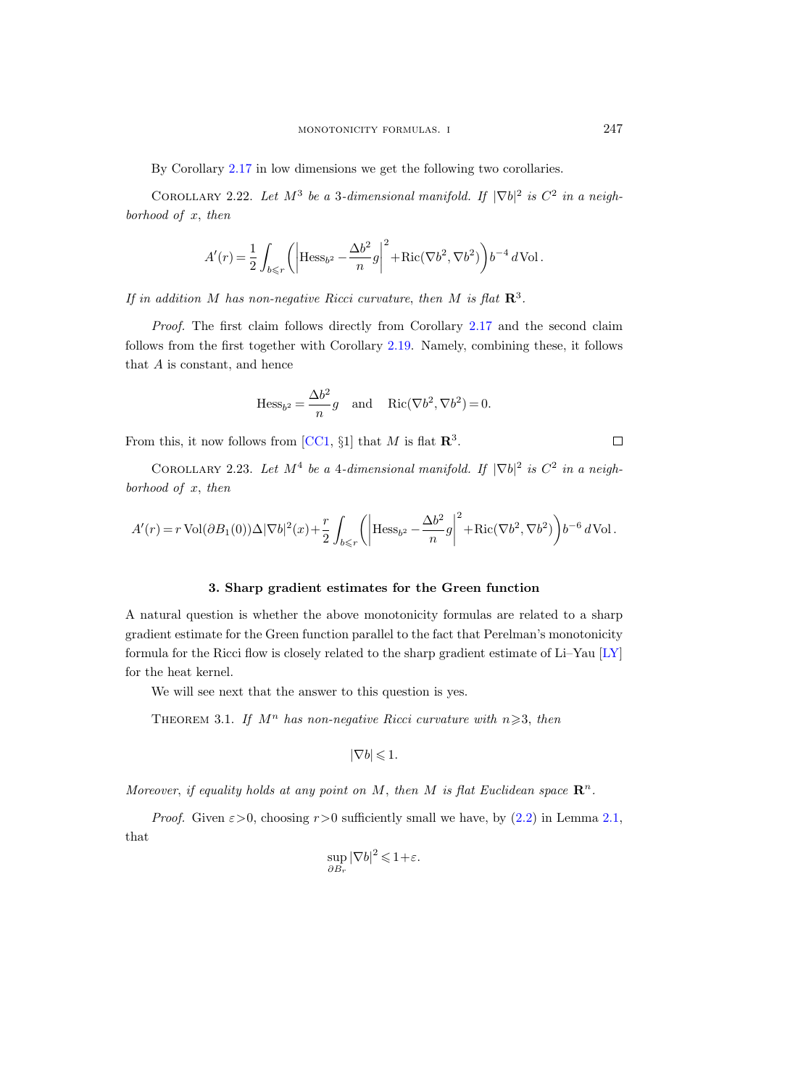<span id="page-18-0"></span>By Corollary [2.17](#page-16-0) in low dimensions we get the following two corollaries.

COROLLARY 2.22. Let  $M^3$  be a 3-dimensional manifold. If  $|\nabla b|^2$  is  $C^2$  in a neighborhood of  $x$ , then

$$
A'(r) = \frac{1}{2} \int_{b \le r} \left( \left| \text{Hess}_{b^2} - \frac{\Delta b^2}{n} g \right|^2 + \text{Ric}(\nabla b^2, \nabla b^2) \right) b^{-4} d\text{Vol}.
$$

If in addition M has non-negative Ricci curvature, then M is flat  $\mathbb{R}^3$ .

Proof. The first claim follows directly from Corollary [2.17](#page-16-0) and the second claim follows from the first together with Corollary [2.19.](#page-17-0) Namely, combining these, it follows that  $A$  is constant, and hence

$$
\text{Hess}_{b^2} = \frac{\Delta b^2}{n}g \quad \text{and} \quad \text{Ric}(\nabla b^2, \nabla b^2) = 0.
$$

From this, it now follows from [\[CC1,](#page-33-0)  $\S1$ ] that M is flat  $\mathbb{R}^3$ .

COROLLARY 2.23. Let  $M^4$  be a 4-dimensional manifold. If  $|\nabla b|^2$  is  $C^2$  in a neighborhood of  $x$ , then

$$
A'(r)=r\operatorname{Vol}(\partial B_1(0))\Delta|\nabla b|^2(x)+\frac{r}{2}\int_{b\leqslant r}\left(\left|\mathrm{Hess}_{b^2}-\frac{\Delta b^2}{n}g\right|^2+\mathrm{Ric}(\nabla b^2,\nabla b^2)\right)b^{-6}\,d\mathrm{Vol}\,.
$$

#### 3. Sharp gradient estimates for the Green function

A natural question is whether the above monotonicity formulas are related to a sharp gradient estimate for the Green function parallel to the fact that Perelman's monotonicity formula for the Ricci flow is closely related to the sharp gradient estimate of Li–Yau [\[LY\]](#page-33-0) for the heat kernel.

We will see next that the answer to this question is yes.

THEOREM 3.1. If  $M^n$  has non-negative Ricci curvature with  $n \geqslant 3$ , then

$$
|\nabla b| \leqslant 1.
$$

Moreover, if equality holds at any point on M, then M is flat Euclidean space  $\mathbb{R}^n$ .

*Proof.* Given  $\epsilon > 0$ , choosing  $r > 0$  sufficiently small we have, by  $(2.2)$  in Lemma [2.1,](#page-7-0) that

$$
\sup_{\partial B_r} |\nabla b|^2 \leq 1 + \varepsilon.
$$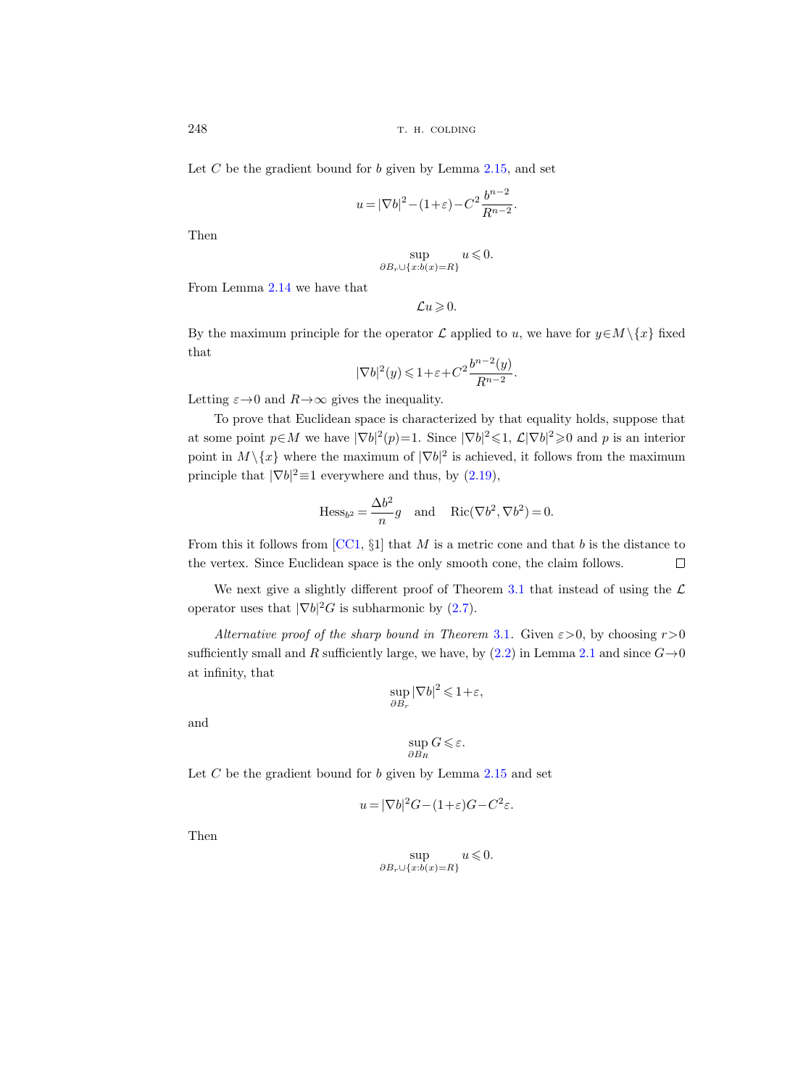Let  $C$  be the gradient bound for  $b$  given by Lemma [2.15,](#page-15-0) and set

$$
u = |\nabla b|^2 - (1+\varepsilon) - C^2 \frac{b^{n-2}}{R^{n-2}}.
$$

Then

$$
\sup_{\partial B_r \cup \{x:b(x)=R\}} u \leqslant 0.
$$

From Lemma [2.14](#page-14-0) we have that

$$
\mathcal{L} u\!\geqslant\!0.
$$

By the maximum principle for the operator  $\mathcal L$  applied to u, we have for  $y \in M \setminus \{x\}$  fixed that

$$
|\nabla b|^2(y) \le 1 + \varepsilon + C^2 \frac{b^{n-2}(y)}{R^{n-2}}.
$$

Letting  $\varepsilon \rightarrow 0$  and  $R \rightarrow \infty$  gives the inequality.

To prove that Euclidean space is characterized by that equality holds, suppose that at some point  $p \in M$  we have  $|\nabla b|^2(p)=1$ . Since  $|\nabla b|^2 \leq 1$ ,  $\mathcal{L}|\nabla b|^2 \geq 0$  and p is an interior point in  $M \setminus \{x\}$  where the maximum of  $|\nabla b|^2$  is achieved, it follows from the maximum principle that  $|\nabla b|^2 \equiv 1$  everywhere and thus, by  $(2.19)$ ,

$$
\text{Hess}_{b^2} = \frac{\Delta b^2}{n}g \quad \text{and} \quad \text{Ric}(\nabla b^2, \nabla b^2) = 0.
$$

From this it follows from  $[CC1, §1]$  $[CC1, §1]$  that M is a metric cone and that b is the distance to the vertex. Since Euclidean space is the only smooth cone, the claim follows.  $\Box$ 

We next give a slightly different proof of Theorem [3.1](#page-18-0) that instead of using the  $\mathcal L$ operator uses that  $|\nabla b|^2 G$  is subharmonic by [\(2.7\)](#page-11-0).

Alternative proof of the sharp bound in Theorem [3.1](#page-18-0). Given  $\varepsilon > 0$ , by choosing  $r > 0$ sufficiently small and R sufficiently large, we have, by  $(2.2)$  in Lemma [2.1](#page-7-0) and since  $G \rightarrow 0$ at infinity, that

$$
\sup_{\partial B_r} |\nabla b|^2 \leq 1 + \varepsilon,
$$

and

$$
\sup_{\partial B_R} G \leqslant \varepsilon.
$$

Let  $C$  be the gradient bound for  $b$  given by Lemma [2.15](#page-15-0) and set

$$
u = |\nabla b|^2 G - (1 + \varepsilon)G - C^2 \varepsilon.
$$

Then

$$
\sup_{\partial B_r \cup \{x:b(x)=R\}} u \leqslant 0.
$$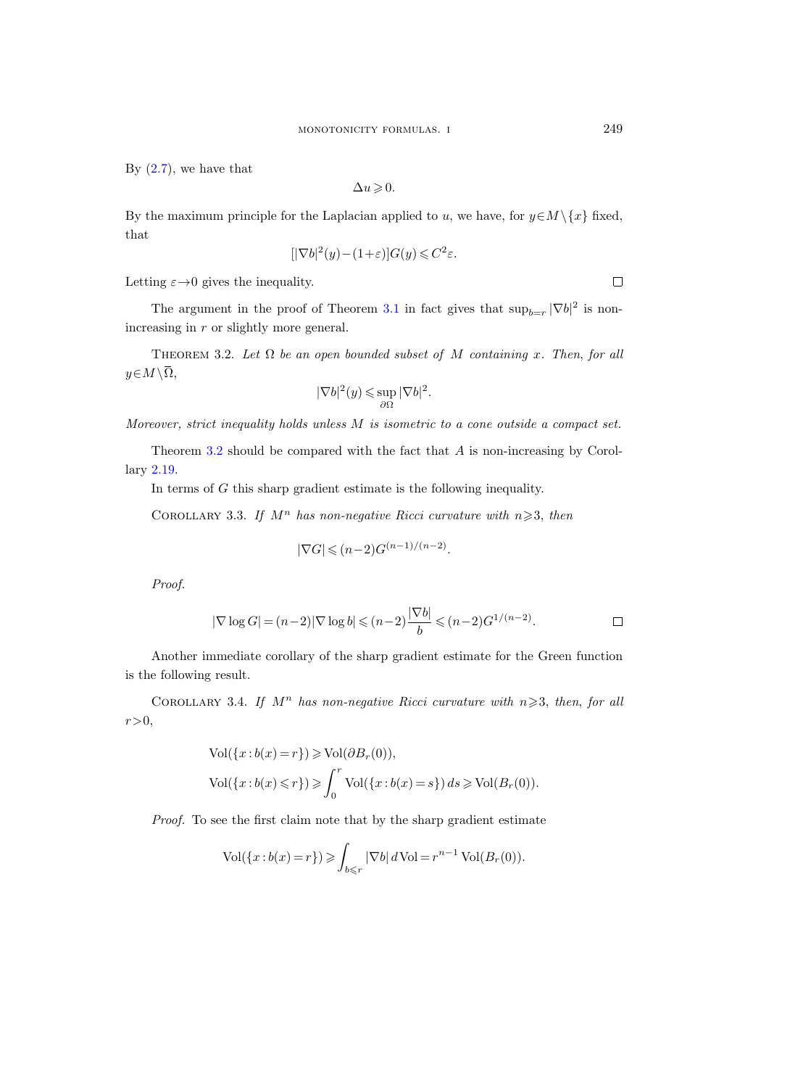<span id="page-20-0"></span>By  $(2.7)$ , we have that

$$
\Delta u \geqslant 0.
$$

By the maximum principle for the Laplacian applied to u, we have, for  $y \in M \setminus \{x\}$  fixed, that

$$
[|\nabla b|^2(y) - (1+\varepsilon)]G(y) \leqslant C^2\varepsilon.
$$

Letting  $\varepsilon \rightarrow 0$  gives the inequality.

The argument in the proof of Theorem [3.1](#page-18-0) in fact gives that  $\sup_{b=r} |\nabla b|^2$  is nonincreasing in r or slightly more general. By (2.7),<br>By the m<br>that<br>that<br>Letting  $\varepsilon$ <br>The<br>increasing<br> $\text{THE}$ <br> $y \in M \setminus \overline{\Omega}$ ,

THEOREM 3.2. Let  $\Omega$  be an open bounded subset of M containing x. Then, for all

$$
|\nabla b|^2(y)\leqslant \sup_{\partial\Omega}|\nabla b|^2.
$$

Moreover, strict inequality holds unless M is isometric to a cone outside a compact set.

Theorem 3.2 should be compared with the fact that A is non-increasing by Corollary [2.19.](#page-17-0)

In terms of G this sharp gradient estimate is the following inequality.

COROLLARY 3.3. If  $M^n$  has non-negative Ricci curvature with  $n \geq 3$ , then

$$
|\nabla G| \leqslant (n-2)G^{(n-1)/(n-2)}.
$$

Proof.

$$
|\nabla \log G| = (n-2)|\nabla \log b| \leqslant (n-2)\frac{|\nabla b|}{b} \leqslant (n-2)G^{1/(n-2)}.
$$

Another immediate corollary of the sharp gradient estimate for the Green function is the following result.

COROLLARY 3.4. If  $M^n$  has non-negative Ricci curvature with  $n \geqslant 3$ , then, for all  $r\!>\!0,$ 

$$
\label{eq:vol} \begin{aligned} &\text{Vol}(\{x:b(x)=r\})\geqslant \text{Vol}(\partial B_r(0)),\\ &\text{Vol}(\{x:b(x)\leqslant r\})\geqslant \int_0^r\text{Vol}(\{x:b(x)=s\})\,ds\geqslant \text{Vol}(B_r(0)). \end{aligned}
$$

Proof. To see the first claim note that by the sharp gradient estimate

$$
\text{Vol}(\{x:b(x)=r\}) \geqslant \int_{b\leqslant r} |\nabla b| \, d\text{Vol}=r^{n-1}\text{Vol}(B_r(0)).
$$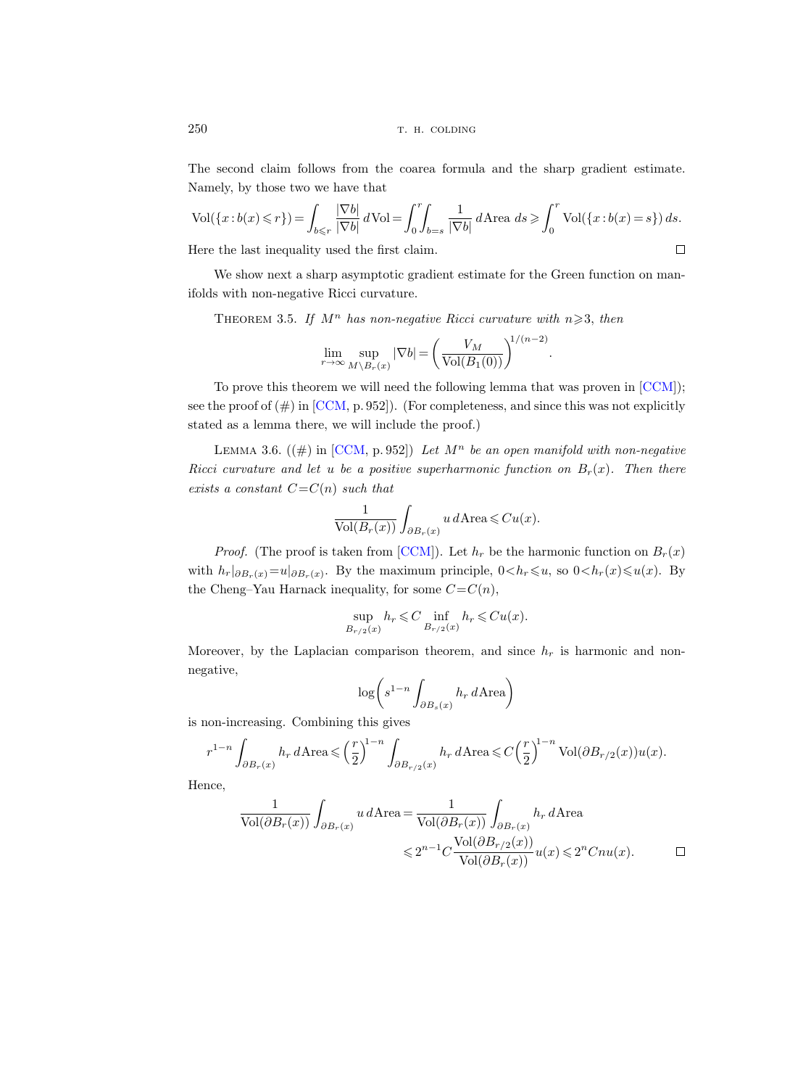The second claim follows from the coarea formula and the sharp gradient estimate. Namely, by those two we have that

$$
\text{Vol}(\{x:b(x)\leqslant r\}) = \int_{b\leqslant r} \frac{|\nabla b|}{|\nabla b|} d\text{Vol} = \int_0^r \int_{b=s} \frac{1}{|\nabla b|} d\text{Area} \, ds \geqslant \int_0^r \text{Vol}(\{x:b(x)=s\}) \, ds.
$$
\nHere the last inequality used the first claim.

Here the last inequality used the first claim.

We show next a sharp asymptotic gradient estimate for the Green function on manifolds with non-negative Ricci curvature.

THEOREM 3.5. If  $M^n$  has non-negative Ricci curvature with  $n \geq 3$ , then

$$
\lim_{r \to \infty} \sup_{M \setminus B_r(x)} |\nabla b| = \left(\frac{V_M}{\text{Vol}(B_1(0))}\right)^{1/(n-2)}
$$

.

To prove this theorem we will need the following lemma that was proven in [\[CCM\]](#page-33-0)); see the proof of  $(\#)$  in [\[CCM,](#page-33-0) p. 952]). (For completeness, and since this was not explicitly stated as a lemma there, we will include the proof.)

LEMMA 3.6.  $((\#)$  in [\[CCM,](#page-33-0) p. 952]) Let  $M^n$  be an open manifold with non-negative Ricci curvature and let u be a positive superharmonic function on  $B_r(x)$ . Then there exists a constant  $C=C(n)$  such that

$$
\frac{1}{\text{Vol}(B_r(x))} \int_{\partial B_r(x)} u \, d\text{Area} \leqslant Cu(x).
$$

*Proof.* (The proof is taken from [\[CCM\]](#page-33-0)). Let  $h_r$  be the harmonic function on  $B_r(x)$ with  $h_r|_{\partial B_r(x)}=u|_{\partial B_r(x)}$ . By the maximum principle,  $0< h_r\leqslant u$ , so  $0< h_r(x)\leqslant u(x)$ . By the Cheng–Yau Harnack inequality, for some  $C=C(n)$ ,

$$
\sup_{B_{r/2}(x)} h_r \leqslant C \inf_{B_{r/2}(x)} h_r \leqslant Cu(x).
$$

Moreover, by the Laplacian comparison theorem, and since  $h_r$  is harmonic and nonnegative,

$$
\log\bigg(s^{1-n}\int_{\partial B_s(x)}h_r\,d\mathrm{Area}\bigg)
$$

is non-increasing. Combining this gives

$$
r^{1-n} \int_{\partial B_r(x)} h_r d\mathrm{Area} \leqslant \left(\frac{r}{2}\right)^{1-n} \int_{\partial B_{r/2}(x)} h_r d\mathrm{Area} \leqslant C \left(\frac{r}{2}\right)^{1-n} \mathrm{Vol}(\partial B_{r/2}(x)) u(x).
$$

Hence,

$$
\frac{1}{\text{Vol}(\partial B_r(x))} \int_{\partial B_r(x)} u \, d\text{Area} = \frac{1}{\text{Vol}(\partial B_r(x))} \int_{\partial B_r(x)} h_r \, d\text{Area}
$$
  

$$
\leq 2^{n-1} C \frac{\text{Vol}(\partial B_{r/2}(x))}{\text{Vol}(\partial B_r(x))} u(x) \leq 2^n C n u(x). \qquad \Box
$$

<span id="page-21-0"></span>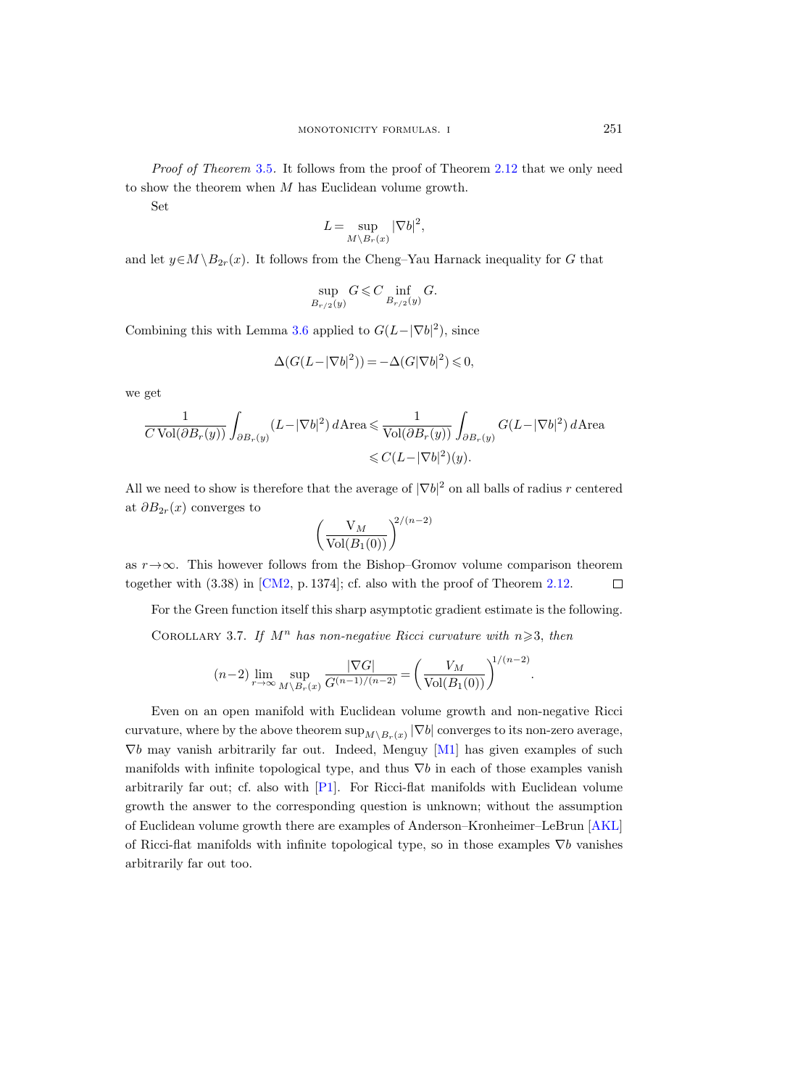Proof of Theorem [3.5](#page-21-0). It follows from the proof of Theorem [2.12](#page-13-0) that we only need to show the theorem when M has Euclidean volume growth.

Set

$$
L = \sup_{M \backslash B_r(x)} |\nabla b|^2,
$$

and let  $y \in M \backslash B_{2r}(x)$ . It follows from the Cheng–Yau Harnack inequality for G that

$$
\sup_{B_{r/2}(y)} G \leqslant C \inf_{B_{r/2}(y)} G.
$$

Combining this with Lemma [3.6](#page-21-0) applied to  $G(L-|\nabla b|^2)$ , since

$$
\Delta(G(L-|\nabla b|^2)) = -\Delta(G|\nabla b|^2) \leq 0,
$$

we get

$$
\frac{1}{C \operatorname{Vol}(\partial B_r(y))} \int_{\partial B_r(y)} (L - |\nabla b|^2) d \text{Area} \leq \frac{1}{\operatorname{Vol}(\partial B_r(y))} \int_{\partial B_r(y)} G(L - |\nabla b|^2) d \text{Area} \leq C(L - |\nabla b|^2)(y).
$$

All we need to show is therefore that the average of  $|\nabla b|^2$  on all balls of radius r centered at  $\partial B_{2r}(x)$  converges to

$$
\left(\frac{\mathrm{V}_M}{\mathrm{Vol}(B_1(0))}\right)^{2/(n-2)}
$$

as  $r \rightarrow \infty$ . This however follows from the Bishop–Gromov volume comparison theorem together with (3.38) in [\[CM2,](#page-33-0) p. 1374]; cf. also with the proof of Theorem [2.12.](#page-13-0)  $\Box$ 

For the Green function itself this sharp asymptotic gradient estimate is the following.

COROLLARY 3.7. If  $M^n$  has non-negative Ricci curvature with  $n \geq 3$ , then

$$
(n-2)\lim_{r\to\infty}\sup_{M\setminus B_r(x)}\frac{|\nabla G|}{G^{(n-1)/(n-2)}}=\left(\frac{V_M}{\text{Vol}(B_1(0))}\right)^{1/(n-2)}.
$$

Even on an open manifold with Euclidean volume growth and non-negative Ricci curvature, where by the above theorem  $\sup_{M\setminus B_r(x)} |\nabla b|$  converges to its non-zero average,  $\nabla b$  may vanish arbitrarily far out. Indeed, Menguy [\[M1\]](#page-33-0) has given examples of such manifolds with infinite topological type, and thus  $\nabla b$  in each of those examples vanish arbitrarily far out; cf. also with [\[P1\]](#page-34-0). For Ricci-flat manifolds with Euclidean volume growth the answer to the corresponding question is unknown; without the assumption of Euclidean volume growth there are examples of Anderson–Kronheimer–LeBrun [\[AKL\]](#page-33-0) of Ricci-flat manifolds with infinite topological type, so in those examples  $\nabla b$  vanishes arbitrarily far out too.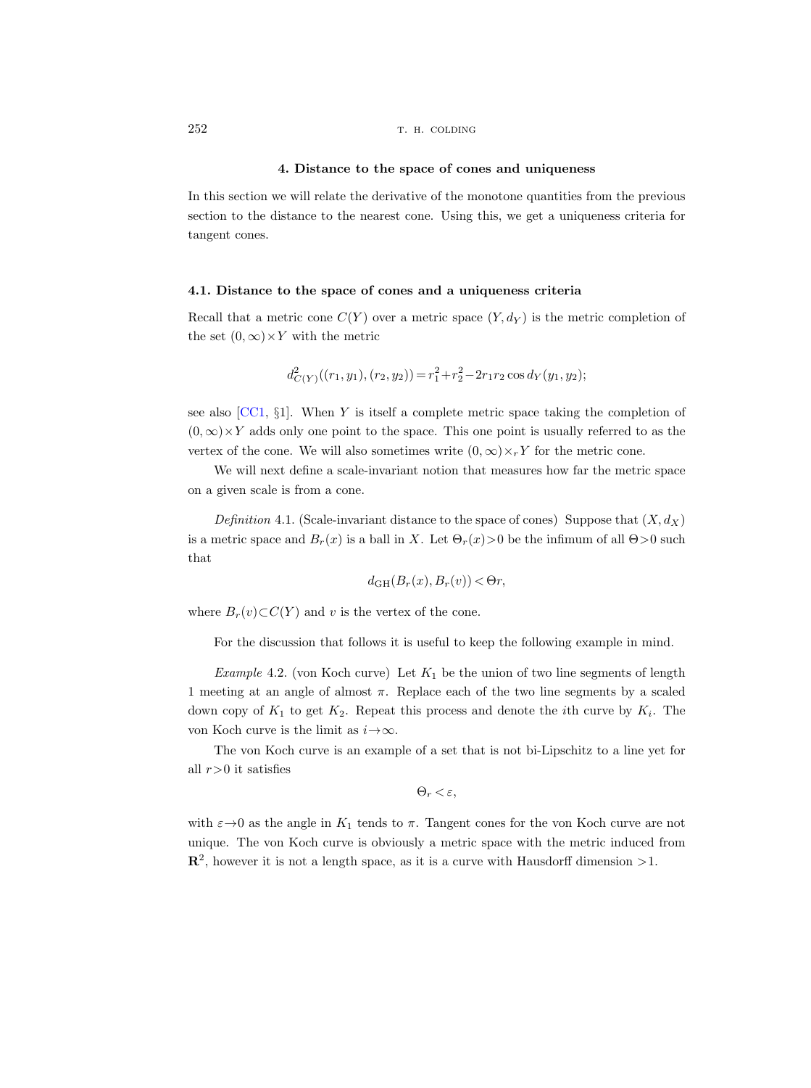## 4. Distance to the space of cones and uniqueness

In this section we will relate the derivative of the monotone quantities from the previous section to the distance to the nearest cone. Using this, we get a uniqueness criteria for tangent cones.

## 4.1. Distance to the space of cones and a uniqueness criteria

Recall that a metric cone  $C(Y)$  over a metric space  $(Y, d_Y)$  is the metric completion of the set  $(0, \infty) \times Y$  with the metric

$$
d_{C(Y)}^{2}((r_{1}, y_{1}), (r_{2}, y_{2})) = r_{1}^{2} + r_{2}^{2} - 2r_{1}r_{2} \cos d_{Y}(y_{1}, y_{2});
$$

see also  $[CC1, §1]$  $[CC1, §1]$ . When Y is itself a complete metric space taking the completion of  $(0, \infty) \times Y$  adds only one point to the space. This one point is usually referred to as the vertex of the cone. We will also sometimes write  $(0, \infty) \times_r Y$  for the metric cone.

We will next define a scale-invariant notion that measures how far the metric space on a given scale is from a cone.

Definition 4.1. (Scale-invariant distance to the space of cones) Suppose that  $(X, d_X)$ is a metric space and  $B_r(x)$  is a ball in X. Let  $\Theta_r(x) > 0$  be the infimum of all  $\Theta > 0$  such that

$$
d_{GH}(B_r(x), B_r(v)) < \Theta r,
$$

where  $B_r(v) \subset C(Y)$  and v is the vertex of the cone.

For the discussion that follows it is useful to keep the following example in mind.

Example 4.2. (von Koch curve) Let  $K_1$  be the union of two line segments of length 1 meeting at an angle of almost  $\pi$ . Replace each of the two line segments by a scaled down copy of  $K_1$  to get  $K_2$ . Repeat this process and denote the *i*th curve by  $K_i$ . The von Koch curve is the limit as  $i \rightarrow \infty$ .

The von Koch curve is an example of a set that is not bi-Lipschitz to a line yet for all  $r>0$  it satisfies

$$
\Theta_r < \varepsilon,
$$

with  $\varepsilon \rightarrow 0$  as the angle in  $K_1$  tends to  $\pi$ . Tangent cones for the von Koch curve are not unique. The von Koch curve is obviously a metric space with the metric induced from  $\mathbb{R}^2$ , however it is not a length space, as it is a curve with Hausdorff dimension  $>1$ .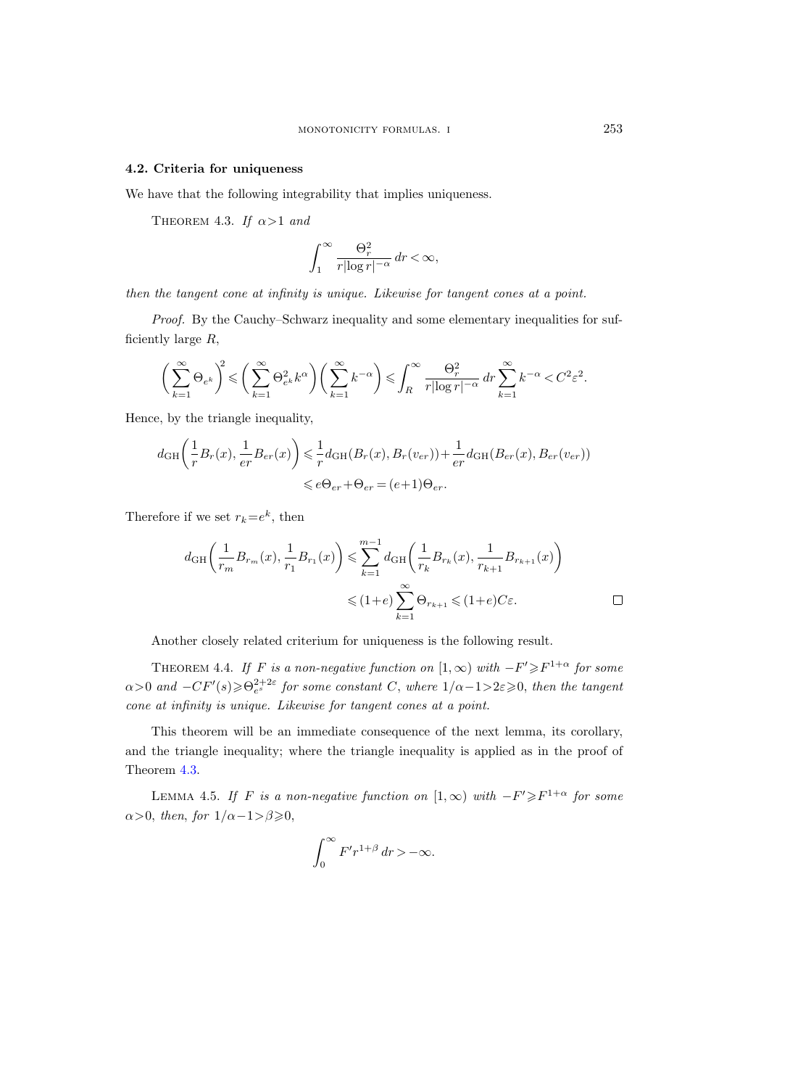### <span id="page-24-0"></span>4.2. Criteria for uniqueness

We have that the following integrability that implies uniqueness.

THEOREM 4.3. If  $\alpha > 1$  and

$$
\int_1^\infty \frac{\Theta_r^2}{r|\log r|^{-\alpha}}\,dr < \infty,
$$

then the tangent cone at infinity is unique. Likewise for tangent cones at a point.

Proof. By the Cauchy–Schwarz inequality and some elementary inequalities for sufficiently large  $R$ ,

$$
\bigg(\sum_{k=1}^{\infty} \Theta_{e^k}\bigg)^2 \leqslant \bigg(\sum_{k=1}^{\infty} \Theta_{e^k}^2 k^{\alpha}\bigg) \bigg(\sum_{k=1}^{\infty} k^{-\alpha}\bigg) \leqslant \int_R^{\infty} \frac{\Theta_r^2}{r |\log r|^{-\alpha}} \, dr \sum_{k=1}^{\infty} k^{-\alpha} < C^2 \varepsilon^2.
$$

Hence, by the triangle inequality,

$$
d_{GH}\left(\frac{1}{r}B_r(x), \frac{1}{er}B_{er}(x)\right) \leq \frac{1}{r}d_{GH}(B_r(x), B_r(v_{er})) + \frac{1}{er}d_{GH}(B_{er}(x), B_{er}(v_{er}))
$$
  

$$
\leq e\Theta_{er} + \Theta_{er} = (e+1)\Theta_{er}.
$$

Therefore if we set  $r_k = e^k$ , then

$$
d_{\mathrm{GH}}\left(\frac{1}{r_m}B_{r_m}(x),\frac{1}{r_1}B_{r_1}(x)\right) \leqslant \sum_{k=1}^{m-1} d_{\mathrm{GH}}\left(\frac{1}{r_k}B_{r_k}(x),\frac{1}{r_{k+1}}B_{r_{k+1}}(x)\right)
$$
  

$$
\leqslant (1+e) \sum_{k=1}^{\infty} \Theta_{r_{k+1}} \leqslant (1+e)C\varepsilon.
$$

Another closely related criterium for uniqueness is the following result.

THEOREM 4.4. If F is a non-negative function on  $[1,\infty)$  with  $-F'\geq F^{1+\alpha}$  for some  $\alpha$ >0 and  $-CF'(s) \geq \Theta_{e^s}^{2+2\varepsilon}$  for some constant C, where  $1/\alpha-1>2\varepsilon \geqslant 0$ , then the tangent cone at infinity is unique. Likewise for tangent cones at a point.

This theorem will be an immediate consequence of the next lemma, its corollary, and the triangle inequality; where the triangle inequality is applied as in the proof of Theorem 4.3.

LEMMA 4.5. If F is a non-negative function on  $[1,\infty)$  with  $-F'\geq F^{1+\alpha}$  for some  $\alpha$ >0, then, for  $1/\alpha - 1 > \beta \geq 0$ ,

$$
\int_0^\infty F'r^{1+\beta}\,dr > -\infty.
$$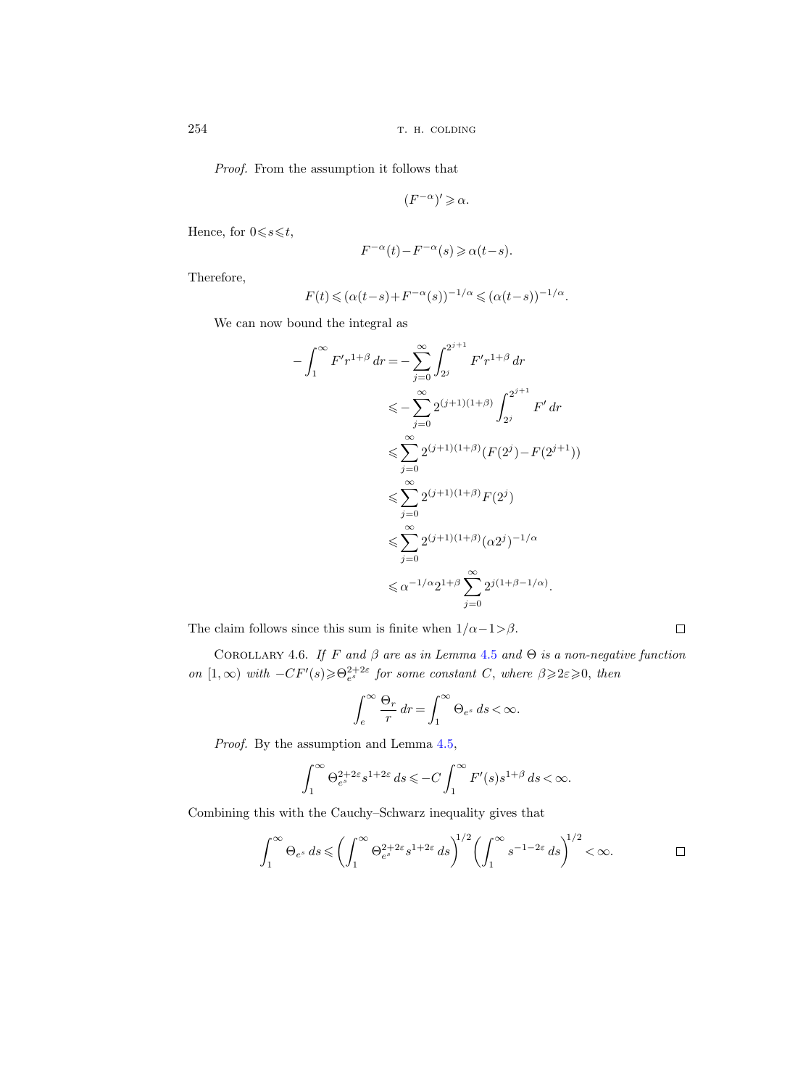Proof. From the assumption it follows that

$$
(F^{-\alpha})'\geqslant \alpha.
$$

Hence, for  $0 \le s \le t$ ,

$$
F^{-\alpha}(t) - F^{-\alpha}(s) \geqslant \alpha(t-s).
$$

Therefore,

$$
F(t) \leq (\alpha(t-s) + F^{-\alpha}(s))^{-1/\alpha} \leq (\alpha(t-s))^{-1/\alpha}.
$$

We can now bound the integral as

$$
-\int_{1}^{\infty} F'r^{1+\beta} dr = -\sum_{j=0}^{\infty} \int_{2^{j}}^{2^{j+1}} F'r^{1+\beta} dr
$$
  
\n
$$
\leq -\sum_{j=0}^{\infty} 2^{(j+1)(1+\beta)} \int_{2^{j}}^{2^{j+1}} F' dr
$$
  
\n
$$
\leq \sum_{j=0}^{\infty} 2^{(j+1)(1+\beta)} (F(2^{j}) - F(2^{j+1}))
$$
  
\n
$$
\leq \sum_{j=0}^{\infty} 2^{(j+1)(1+\beta)} F(2^{j})
$$
  
\n
$$
\leq \sum_{j=0}^{\infty} 2^{(j+1)(1+\beta)} (\alpha 2^{j})^{-1/\alpha}
$$
  
\n
$$
\leq \alpha^{-1/\alpha} 2^{1+\beta} \sum_{j=0}^{\infty} 2^{j(1+\beta-1/\alpha)}.
$$

The claim follows since this sum is finite when  $1/\alpha - 1 > \beta$ .

COROLLARY 4.6. If F and  $\beta$  are as in Lemma [4.5](#page-24-0) and  $\Theta$  is a non-negative function on  $[1,\infty)$  with  $-CF'(s) \geq \Theta_e^{2+2\varepsilon}$  for some constant C, where  $\beta \geq 2\varepsilon \geq 0$ , then

 $\Box$ 

$$
\int_{e}^{\infty} \frac{\Theta_r}{r} dr = \int_{1}^{\infty} \Theta_{e^s} ds < \infty.
$$

Proof. By the assumption and Lemma  $4.5$ ,

$$
\int_1^\infty \Theta_{e^s}^{2+2\varepsilon} s^{1+2\varepsilon} ds \leqslant -C \int_1^\infty F'(s) s^{1+\beta} ds < \infty.
$$

Combining this with the Cauchy–Schwarz inequality gives that

$$
\int_1^\infty \Theta_{e^s} ds \leqslant \left(\int_1^\infty \Theta_{e^s}^{2+2\varepsilon} s^{1+2\varepsilon} ds\right)^{1/2} \left(\int_1^\infty s^{-1-2\varepsilon} ds\right)^{1/2} < \infty. \qquad \qquad \Box
$$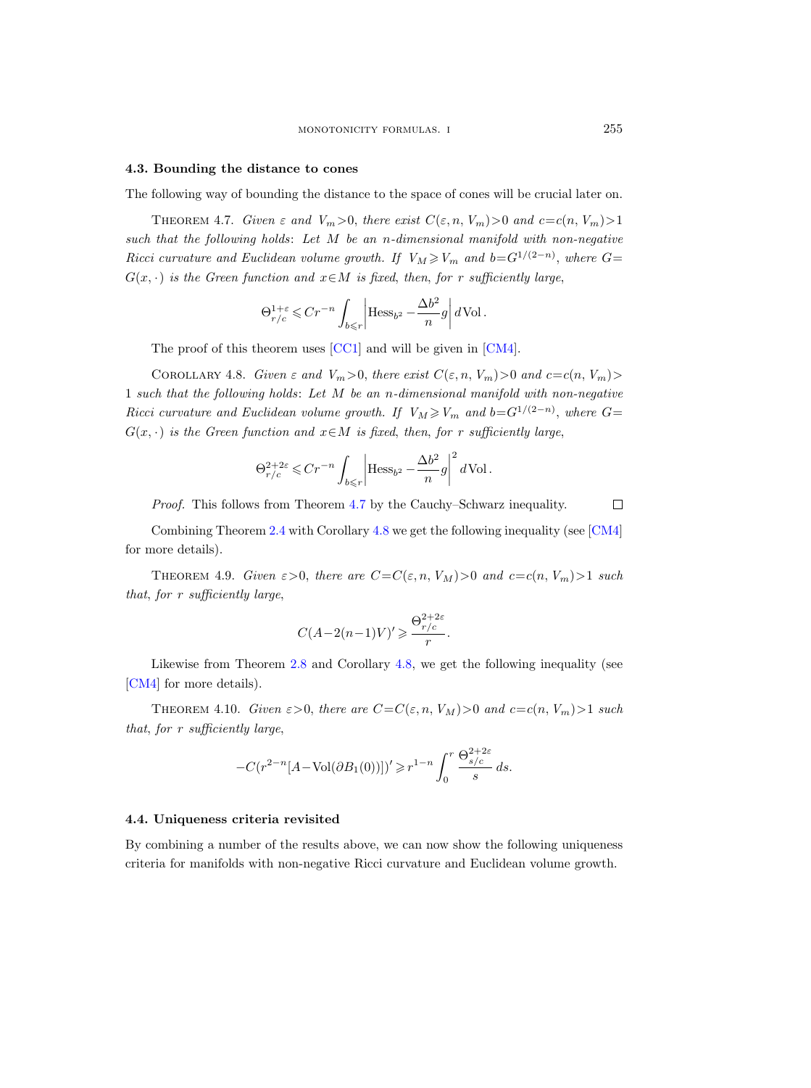#### <span id="page-26-0"></span>4.3. Bounding the distance to cones

The following way of bounding the distance to the space of cones will be crucial later on.

THEOREM 4.7. Given  $\varepsilon$  and  $V_m>0$ , there exist  $C(\varepsilon,n, V_m)>0$  and  $c=c(n, V_m)>1$ such that the following holds: Let M be an n-dimensional manifold with non-negative Ricci curvature and Euclidean volume growth. If  $V_M \geq V_m$  and  $b = G^{1/(2-n)}$ , where  $G =$  $G(x, \cdot)$  is the Green function and  $x \in M$  is fixed, then, for r sufficiently large,

$$
\Theta_{r/c}^{1+\varepsilon} \leqslant Cr^{-n} \int_{b\leqslant r} \left| \text{Hess}_{b^2} - \frac{\Delta b^2}{n} g \right| d\text{Vol}.
$$

The proof of this theorem uses [\[CC1\]](#page-33-0) and will be given in [\[CM4\]](#page-33-0).

COROLLARY 4.8. Given  $\varepsilon$  and  $V_m>0$ , there exist  $C(\varepsilon, n, V_m)>0$  and  $c=c(n, V_m)>0$ 1 such that the following holds: Let M be an n-dimensional manifold with non-negative Ricci curvature and Euclidean volume growth. If  $V_M \geq V_m$  and  $b = G^{1/(2-n)}$ , where  $G =$  $G(x, \cdot)$  is the Green function and  $x \in M$  is fixed, then, for r sufficiently large,

$$
\Theta_{r/c}^{2+2\varepsilon} \leqslant Cr^{-n} \int_{b\leqslant r} \left| \text{Hess}_{b^2} - \frac{\Delta b^2}{n} g \right|^2 d\text{Vol}.
$$

Proof. This follows from Theorem 4.7 by the Cauchy–Schwarz inequality.

Combining Theorem [2.4](#page-8-0) with Corollary 4.8 we get the following inequality (see [\[CM4\]](#page-33-0) for more details).

THEOREM 4.9. Given  $\varepsilon > 0$ , there are  $C = C(\varepsilon, n, V_M) > 0$  and  $c = c(n, V_m) > 1$  such that, for r sufficiently large,

$$
C(A-2(n-1)V)' \geq \frac{\Theta_{r/c}^{2+2\varepsilon}}{r}.
$$

Likewise from Theorem [2.8](#page-11-0) and Corollary 4.8, we get the following inequality (see [\[CM4\]](#page-33-0) for more details).

THEOREM 4.10. Given  $\varepsilon > 0$ , there are  $C = C(\varepsilon, n, V_M) > 0$  and  $c = c(n, V_m) > 1$  such that, for r sufficiently large,

$$
-C(r^{2-n}[A-\text{Vol}(\partial B_1(0))])' \ge r^{1-n} \int_0^r \frac{\Theta_{s/c}^{2+2\varepsilon}}{s} ds.
$$

#### 4.4. Uniqueness criteria revisited

By combining a number of the results above, we can now show the following uniqueness criteria for manifolds with non-negative Ricci curvature and Euclidean volume growth.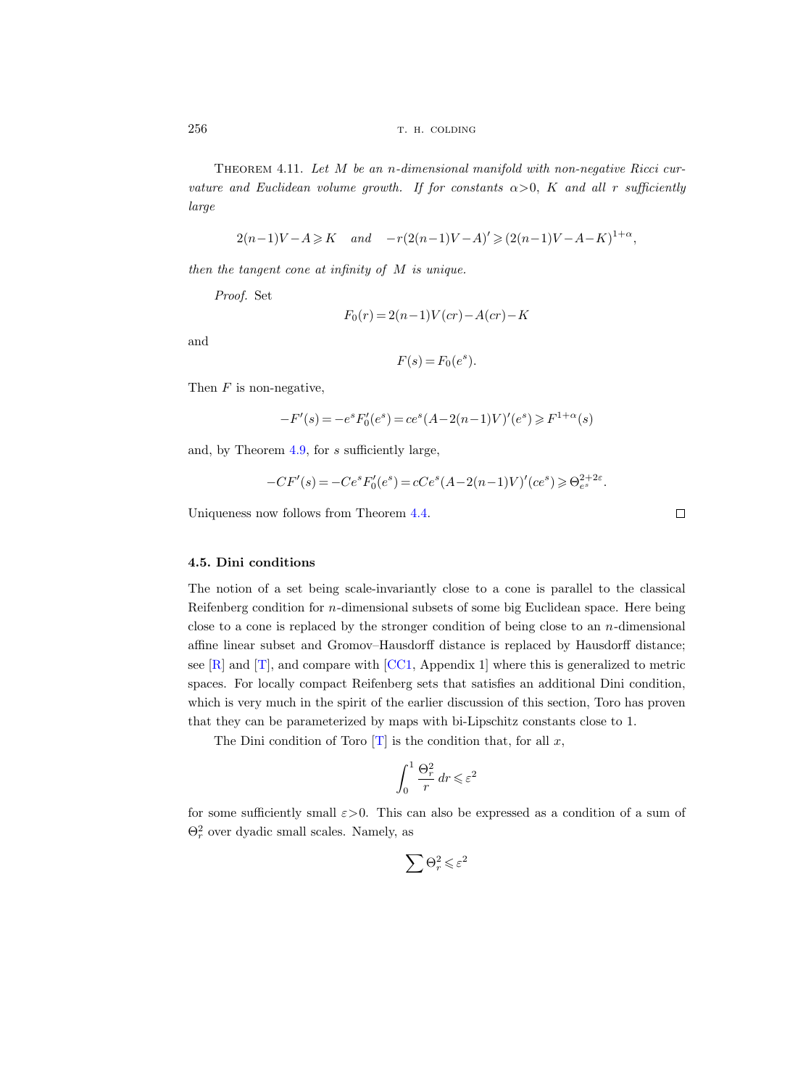Theorem 4.11. Let M be an n-dimensional manifold with non-negative Ricci curvature and Euclidean volume growth. If for constants  $\alpha > 0$ , K and all r sufficiently large

$$
2(n-1)V - A \ge K
$$
 and  $-r(2(n-1)V - A)' \ge (2(n-1)V - A - K)^{1+\alpha}$ ,

then the tangent cone at infinity of M is unique.

Proof. Set

$$
F_0(r) = 2(n-1)V(cr) - A(cr) - K
$$

and

$$
F(s) = F_0(e^s).
$$

Then  $F$  is non-negative,

$$
-F'(s) = -e^{s} F'_{0}(e^{s}) = ce^{s}(A - 2(n-1)V)'(e^{s}) \ge F^{1+\alpha}(s)
$$

and, by Theorem [4.9,](#page-26-0) for s sufficiently large,

$$
-CF'(s) = -Ce^{s}F'_{0}(e^{s}) = cCe^{s}(A - 2(n-1)V)'(ce^{s}) \geq \Theta_{e^{s}}^{2+2\varepsilon}.
$$

Uniqueness now follows from Theorem [4.4.](#page-24-0)

## 4.5. Dini conditions

The notion of a set being scale-invariantly close to a cone is parallel to the classical Reifenberg condition for n-dimensional subsets of some big Euclidean space. Here being close to a cone is replaced by the stronger condition of being close to an n-dimensional affine linear subset and Gromov–Hausdorff distance is replaced by Hausdorff distance; see  $[R]$  and  $[T]$ , and compare with  $[CC1,$  Appendix 1] where this is generalized to metric spaces. For locally compact Reifenberg sets that satisfies an additional Dini condition, which is very much in the spirit of the earlier discussion of this section, Toro has proven that they can be parameterized by maps with bi-Lipschitz constants close to 1.

The Dini condition of Toro  $[T]$  is the condition that, for all x,

$$
\int_0^1 \frac{\Theta_r^2}{r} \, dr \leqslant \varepsilon^2
$$

for some sufficiently small  $\varepsilon > 0$ . This can also be expressed as a condition of a sum of  $\Theta_r^2$  over dyadic small scales. Namely, as

$$
\sum \Theta_r^2 \leqslant \varepsilon^2
$$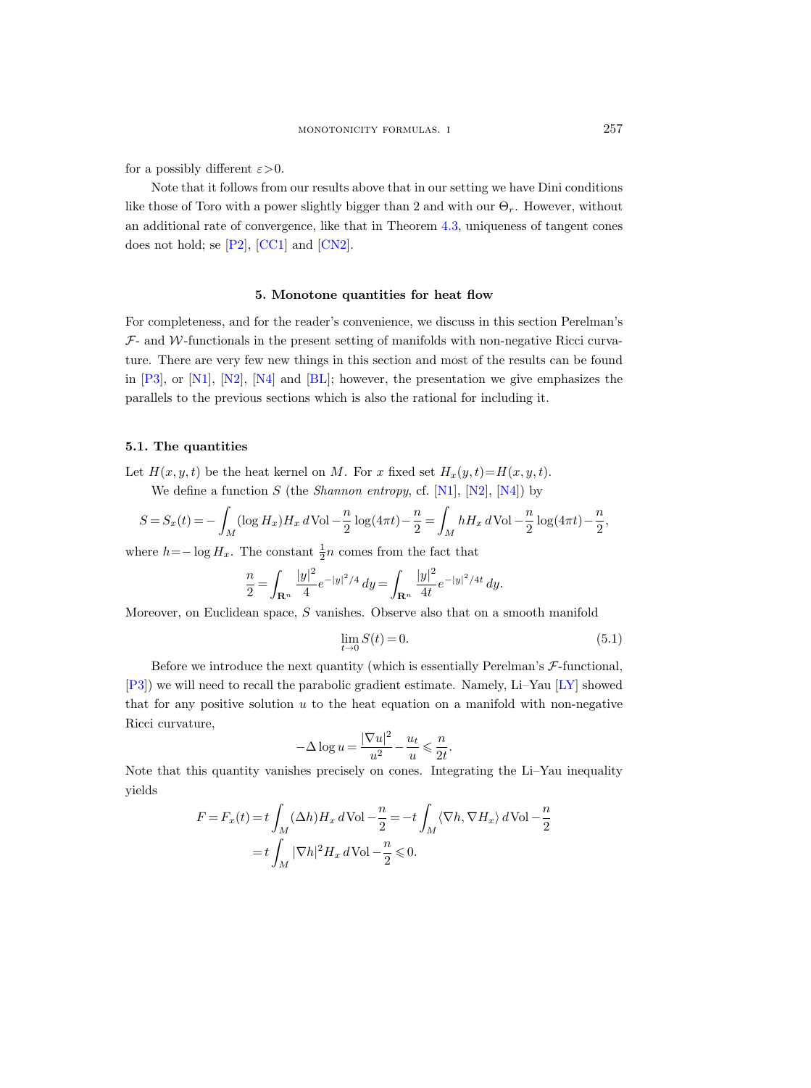<span id="page-28-0"></span>for a possibly different  $\varepsilon > 0$ .

Note that it follows from our results above that in our setting we have Dini conditions like those of Toro with a power slightly bigger than 2 and with our  $\Theta_r$ . However, without an additional rate of convergence, like that in Theorem [4.3,](#page-24-0) uniqueness of tangent cones does not hold; se [\[P2\]](#page-34-0), [\[CC1\]](#page-33-0) and [\[CN2\]](#page-33-0).

#### 5. Monotone quantities for heat flow

For completeness, and for the reader's convenience, we discuss in this section Perelman's  $\mathcal{F}_1$  and W-functionals in the present setting of manifolds with non-negative Ricci curvature. There are very few new things in this section and most of the results can be found in  $[P3]$ , or  $[N1]$ ,  $[N2]$ ,  $[N4]$  and  $[BL]$ ; however, the presentation we give emphasizes the parallels to the previous sections which is also the rational for including it.

# 5.1. The quantities

Let  $H(x, y, t)$  be the heat kernel on M. For x fixed set  $H_x(y, t) = H(x, y, t)$ .

We define a function  $S$  (the *Shannon entropy*, cf. [\[N1\]](#page-34-0), [\[N2\]](#page-34-0), [\[N4\]](#page-34-0)) by

$$
S = S_x(t) = -\int_M (\log H_x) H_x d\text{Vol} - \frac{n}{2} \log(4\pi t) - \frac{n}{2} = \int_M h H_x d\text{Vol} - \frac{n}{2} \log(4\pi t) - \frac{n}{2},
$$

where  $h = -\log H_x$ . The constant  $\frac{1}{2}n$  comes from the fact that

$$
\frac{n}{2} = \int_{\mathbf{R}^n} \frac{|y|^2}{4} e^{-|y|^2/4} \, dy = \int_{\mathbf{R}^n} \frac{|y|^2}{4t} e^{-|y|^2/4t} \, dy.
$$

Moreover, on Euclidean space, S vanishes. Observe also that on a smooth manifold

$$
\lim_{t \to 0} S(t) = 0.
$$
\n(5.1)

Before we introduce the next quantity (which is essentially Perelman's  $\mathcal{F}\text{-}$ functional, [\[P3\]](#page-34-0)) we will need to recall the parabolic gradient estimate. Namely, Li–Yau [\[LY\]](#page-33-0) showed that for any positive solution  $u$  to the heat equation on a manifold with non-negative Ricci curvature,

$$
-\Delta \log u = \frac{|\nabla u|^2}{u^2} - \frac{u_t}{u} \leqslant \frac{n}{2t}.
$$

Note that this quantity vanishes precisely on cones. Integrating the Li–Yau inequality yields

$$
F = F_x(t) = t \int_M (\Delta h) H_x d\text{Vol} - \frac{n}{2} = -t \int_M \langle \nabla h, \nabla H_x \rangle d\text{Vol} - \frac{n}{2}
$$

$$
= t \int_M |\nabla h|^2 H_x d\text{Vol} - \frac{n}{2} \leq 0.
$$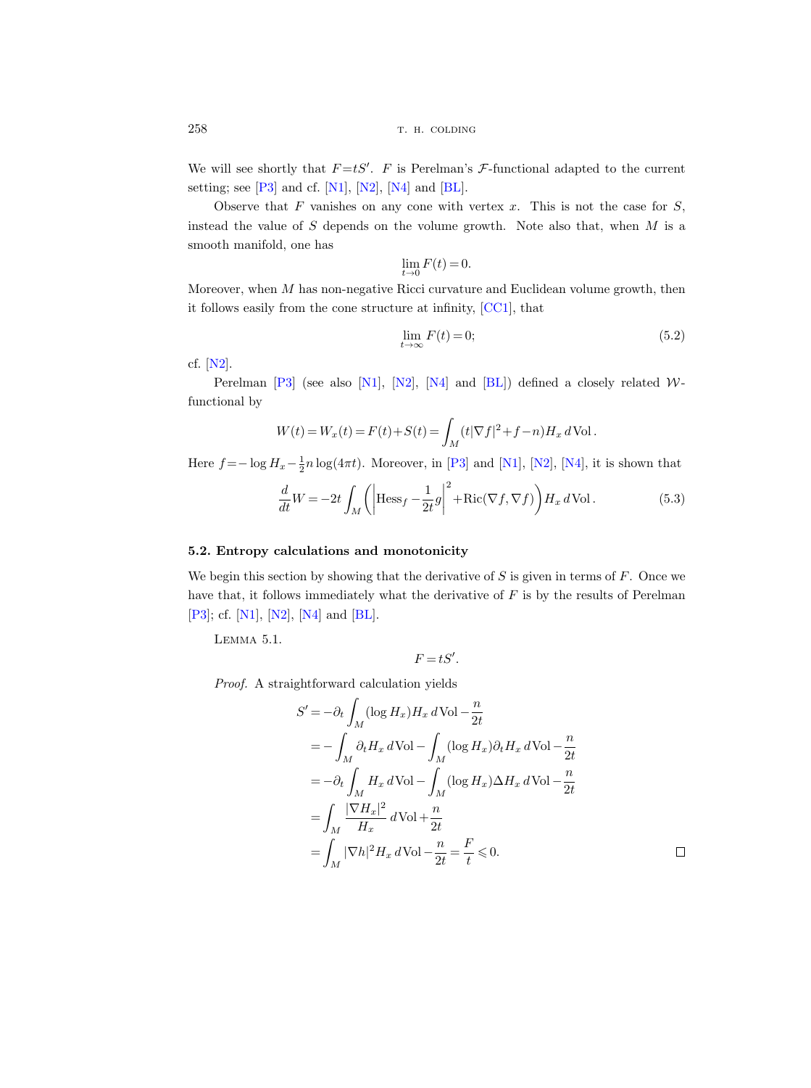We will see shortly that  $F = tS'$ . F is Perelman's F-functional adapted to the current setting; see  $[P3]$  and cf.  $[N1]$ ,  $[N2]$ ,  $[N4]$  and  $[BL]$ .

Observe that  $F$  vanishes on any cone with vertex  $x$ . This is not the case for  $S$ , instead the value of  $S$  depends on the volume growth. Note also that, when  $M$  is a smooth manifold, one has

$$
\lim_{t \to 0} F(t) = 0.
$$

Moreover, when  $M$  has non-negative Ricci curvature and Euclidean volume growth, then it follows easily from the cone structure at infinity, [\[CC1\]](#page-33-0), that

$$
\lim_{t \to \infty} F(t) = 0; \tag{5.2}
$$

cf. [\[N2\]](#page-34-0).

Perelman  $[P3]$  (see also [\[N1\]](#page-34-0), [\[N2\]](#page-34-0), [\[N4\]](#page-34-0) and [\[BL\]](#page-33-0)) defined a closely related Wfunctional by

$$
W(t) = W_x(t) = F(t) + S(t) = \int_M (t|\nabla f|^2 + f - n)H_x dVol.
$$

Here  $f = -\log H_x - \frac{1}{2}n\log(4\pi t)$ . Moreover, in [\[P3\]](#page-34-0) and [\[N1\]](#page-34-0), [\[N2\]](#page-34-0), [\[N4\]](#page-34-0), it is shown that

$$
\frac{d}{dt}W = -2t \int_M \left( \left| \text{Hess}_f - \frac{1}{2t} g \right|^2 + \text{Ric}(\nabla f, \nabla f) \right) H_x d\text{Vol}.
$$
\n(5.3)

# 5.2. Entropy calculations and monotonicity

We begin this section by showing that the derivative of  $S$  is given in terms of  $F$ . Once we have that, it follows immediately what the derivative of  $F$  is by the results of Perelman [\[P3\]](#page-34-0); cf. [\[N1\]](#page-34-0), [\[N2\]](#page-34-0), [\[N4\]](#page-34-0) and [\[BL\]](#page-33-0).

Lemma 5.1.

$$
F = tS'.
$$

Proof. A straightforward calculation yields

$$
S' = -\partial_t \int_M (\log H_x) H_x d\text{Vol} - \frac{n}{2t}
$$
  
=  $-\int_M \partial_t H_x d\text{Vol} - \int_M (\log H_x) \partial_t H_x d\text{Vol} - \frac{n}{2t}$   
=  $-\partial_t \int_M H_x d\text{Vol} - \int_M (\log H_x) \Delta H_x d\text{Vol} - \frac{n}{2t}$   
=  $\int_M \frac{|\nabla H_x|^2}{H_x} d\text{Vol} + \frac{n}{2t}$   
=  $\int_M |\nabla h|^2 H_x d\text{Vol} - \frac{n}{2t} = \frac{F}{t} \leq 0.$ 

<span id="page-29-0"></span>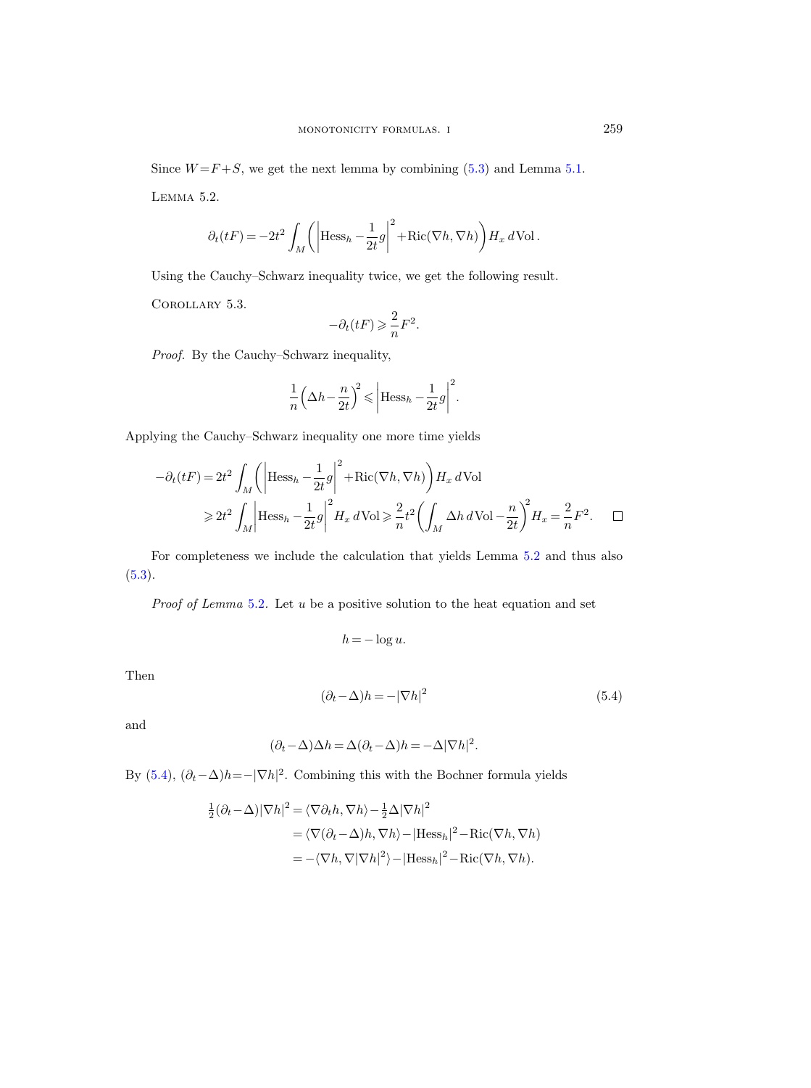Since  $W = F + S$ , we get the next lemma by combining [\(5.3\)](#page-29-0) and Lemma [5.1.](#page-29-0) Lemma 5.2.

$$
\partial_t(tF) = -2t^2 \int_M \left( \left| \text{Hess}_h - \frac{1}{2t} g \right|^2 + \text{Ric}(\nabla h, \nabla h) \right) H_x d\text{Vol}.
$$

Using the Cauchy–Schwarz inequality twice, we get the following result.

Corollary 5.3.

$$
-\partial_t(tF)\geqslant \frac{2}{n}F^2.
$$

Proof. By the Cauchy–Schwarz inequality,

$$
\frac{1}{n} \left(\Delta h - \frac{n}{2t}\right)^2 \leq \left|\text{Hess}_h - \frac{1}{2t}g\right|^2.
$$

Applying the Cauchy–Schwarz inequality one more time yields

$$
-\partial_t(tF) = 2t^2 \int_M \left( \left| \text{Hess}_h - \frac{1}{2t} g \right|^2 + \text{Ric}(\nabla h, \nabla h) \right) H_x d\text{Vol} \n\geq 2t^2 \int_M \left| \text{Hess}_h - \frac{1}{2t} g \right|^2 H_x d\text{Vol} \geq \frac{2}{n} t^2 \left( \int_M \Delta h d\text{Vol} - \frac{n}{2t} \right)^2 H_x = \frac{2}{n} F^2. \quad \Box
$$

For completeness we include the calculation that yields Lemma 5.2 and thus also  $(5.3).$  $(5.3).$ 

Proof of Lemma 5.2. Let u be a positive solution to the heat equation and set

$$
h = -\log u.
$$

Then

$$
(\partial_t - \Delta)h = -|\nabla h|^2 \tag{5.4}
$$

and

$$
(\partial_t - \Delta)\Delta h = \Delta(\partial_t - \Delta)h = -\Delta|\nabla h|^2.
$$

By (5.4),  $(\partial_t - \Delta)h = -|\nabla h|^2$ . Combining this with the Bochner formula yields

$$
\frac{1}{2}(\partial_t - \Delta)|\nabla h|^2 = \langle \nabla \partial_t h, \nabla h \rangle - \frac{1}{2}\Delta |\nabla h|^2
$$
  
=\langle \nabla(\partial\_t - \Delta)h, \nabla h \rangle - |\text{Hess}\_h|^2 - \text{Ric}(\nabla h, \nabla h)   
= -\langle \nabla h, \nabla |\nabla h|^2 \rangle - |\text{Hess}\_h|^2 - \text{Ric}(\nabla h, \nabla h).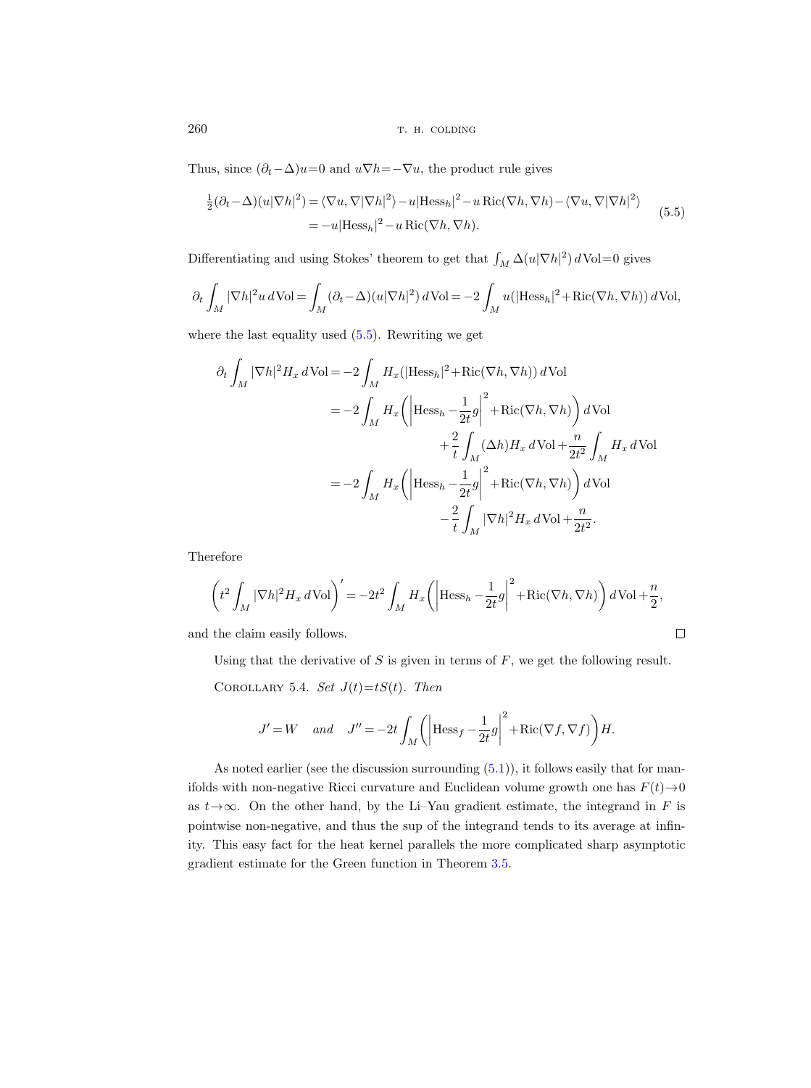Thus, since  $(\partial_t - \Delta)u = 0$  and  $u\nabla h = -\nabla u$ , the product rule gives

$$
\frac{1}{2}(\partial_t - \Delta)(u|\nabla h|^2) = \langle \nabla u, \nabla |\nabla h|^2 \rangle - u|\text{Hess}_h|^2 - u \text{Ric}(\nabla h, \nabla h) - \langle \nabla u, \nabla |\nabla h|^2 \rangle
$$
\n
$$
= -u|\text{Hess}_h|^2 - u \text{Ric}(\nabla h, \nabla h).
$$
\n(5.5)

Differentiating and using Stokes' theorem to get that  $\int_M \Delta(u|\nabla h|^2) d\text{Vol}=0$  gives

$$
\partial_t \int_M |\nabla h|^2 u \, d\text{Vol} = \int_M (\partial_t - \Delta)(u|\nabla h|^2) \, d\text{Vol} = -2 \int_M u(|\text{Hess}_h|^2 + \text{Ric}(\nabla h, \nabla h)) \, d\text{Vol},
$$

where the last equality used (5.5). Rewriting we get

$$
\partial_t \int_M |\nabla h|^2 H_x d\text{Vol} = -2 \int_M H_x (|\text{Hess}_h|^2 + \text{Ric}(\nabla h, \nabla h)) d\text{Vol}
$$
  

$$
= -2 \int_M H_x \left( \left| \text{Hess}_h - \frac{1}{2t} g \right|^2 + \text{Ric}(\nabla h, \nabla h) \right) d\text{Vol}
$$
  

$$
+ \frac{2}{t} \int_M (\Delta h) H_x d\text{Vol} + \frac{n}{2t^2} \int_M H_x d\text{Vol}
$$
  

$$
= -2 \int_M H_x \left( \left| \text{Hess}_h - \frac{1}{2t} g \right|^2 + \text{Ric}(\nabla h, \nabla h) \right) d\text{Vol}
$$
  

$$
- \frac{2}{t} \int_M |\nabla h|^2 H_x d\text{Vol} + \frac{n}{2t^2}.
$$

Therefore

$$
\left(t^2 \int_M |\nabla h|^2 H_x d\text{Vol}\right)' = -2t^2 \int_M H_x \left(\left|\text{Hess}_h - \frac{1}{2t}g\right|^2 + \text{Ric}(\nabla h, \nabla h)\right) d\text{Vol} + \frac{n}{2},
$$

and the claim easily follows.

Using that the derivative of 
$$
S
$$
 is given in terms of  $F$ , we get the following result.

 $\Box$ 

COROLLARY 5.4. Set  $J(t)=tS(t)$ . Then

$$
J' = W \quad \text{and} \quad J'' = -2t \int_M \left( \left| \text{Hess}_f - \frac{1}{2t} g \right|^2 + \text{Ric}(\nabla f, \nabla f) \right) \! H.
$$

As noted earlier (see the discussion surrounding  $(5.1)$ ), it follows easily that for manifolds with non-negative Ricci curvature and Euclidean volume growth one has  $F(t) \rightarrow 0$ as  $t \rightarrow \infty$ . On the other hand, by the Li–Yau gradient estimate, the integrand in F is pointwise non-negative, and thus the sup of the integrand tends to its average at infinity. This easy fact for the heat kernel parallels the more complicated sharp asymptotic gradient estimate for the Green function in Theorem [3.5.](#page-21-0)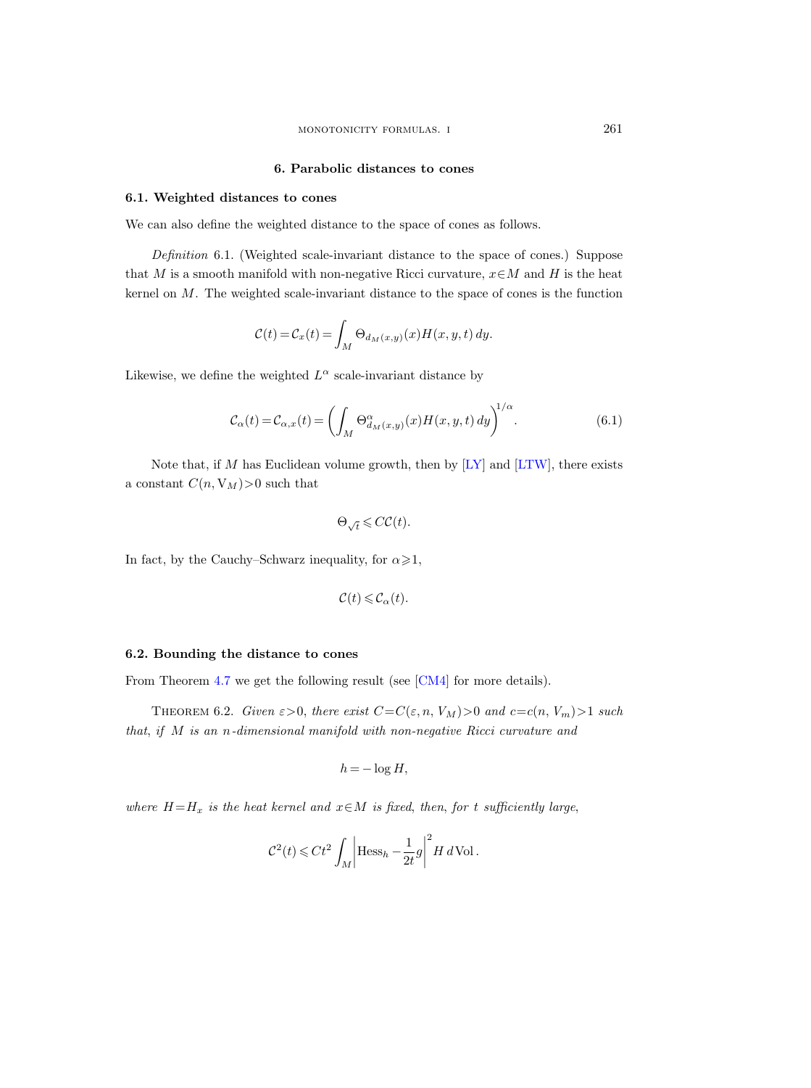# 6. Parabolic distances to cones

## 6.1. Weighted distances to cones

We can also define the weighted distance to the space of cones as follows.

Definition 6.1. (Weighted scale-invariant distance to the space of cones.) Suppose that M is a smooth manifold with non-negative Ricci curvature,  $x \in M$  and H is the heat kernel on M. The weighted scale-invariant distance to the space of cones is the function

$$
\mathcal{C}(t) = \mathcal{C}_x(t) = \int_M \Theta_{d_M(x,y)}(x) H(x,y,t) dy.
$$

Likewise, we define the weighted  $L^{\alpha}$  scale-invariant distance by

$$
\mathcal{C}_{\alpha}(t) = \mathcal{C}_{\alpha,x}(t) = \left(\int_M \Theta_{d_M(x,y)}^{\alpha}(x) H(x,y,t) \, dy\right)^{1/\alpha}.\tag{6.1}
$$

Note that, if M has Euclidean volume growth, then by  $[LY]$  and  $[LTW]$ , there exists a constant  $C(n, V_M)$ >0 such that

$$
\Theta_{\sqrt{t}}\leqslant C\mathcal{C}(t).
$$

In fact, by the Cauchy–Schwarz inequality, for  $\alpha \geq 1$ ,

$$
\mathcal{C}(t) \leqslant \mathcal{C}_{\alpha}(t).
$$

## 6.2. Bounding the distance to cones

From Theorem [4.7](#page-26-0) we get the following result (see [\[CM4\]](#page-33-0) for more details).

THEOREM 6.2. Given  $\varepsilon > 0$ , there exist  $C = C(\varepsilon, n, V_M) > 0$  and  $c = c(n, V_m) > 1$  such that, if M is an n-dimensional manifold with non-negative Ricci curvature and

$$
h = -\log H,
$$

where  $H=H_x$  is the heat kernel and  $x \in M$  is fixed, then, for t sufficiently large,

$$
\mathcal{C}^2(t) \leqslant C t^2 \int_M \left| \text{Hess}_h - \frac{1}{2t} g \right|^2 H \, d\text{Vol}.
$$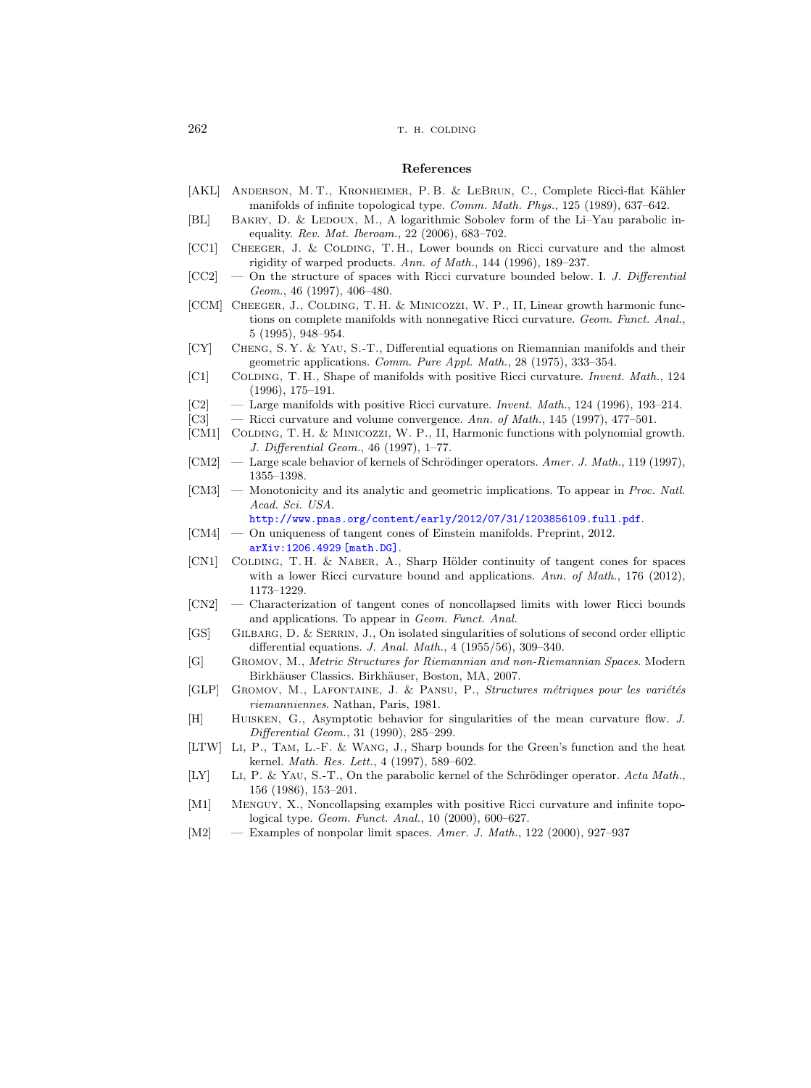#### References

- <span id="page-33-0"></span>[AKL] ANDERSON, M. T., KRONHEIMER, P. B. & LEBRUN, C., Complete Ricci-flat Kähler manifolds of infinite topological type. Comm. Math. Phys., 125 (1989), 637–642.
- [BL] BAKRY, D. & LEDOUX, M., A logarithmic Sobolev form of the Li–Yau parabolic inequality. Rev. Mat. Iberoam., 22 (2006), 683–702.
- [CC1] Cheeger, J. & Colding, T. H., Lower bounds on Ricci curvature and the almost rigidity of warped products. Ann. of Math., 144 (1996), 189–237.
- $[CC2]$  On the structure of spaces with Ricci curvature bounded below. I. J. Differential Geom., 46 (1997), 406–480.
- [CCM] CHEEGER, J., COLDING, T. H. & MINICOZZI, W. P., II, Linear growth harmonic functions on complete manifolds with nonnegative Ricci curvature. Geom. Funct. Anal., 5 (1995), 948–954.
- [CY] Cheng, S. Y. & Yau, S.-T., Differential equations on Riemannian manifolds and their geometric applications. Comm. Pure Appl. Math., 28 (1975), 333–354.
- [C1] COLDING, T. H., Shape of manifolds with positive Ricci curvature. Invent. Math., 124 (1996), 175–191.
- [C2] Large manifolds with positive Ricci curvature. Invent. Math., 124 (1996), 193–214.
- [C3] Ricci curvature and volume convergence. Ann. of Math., 145 (1997), 477-501.
- [CM1] COLDING, T. H. & MINICOZZI, W. P., II, Harmonic functions with polynomial growth. J. Differential Geom., 46 (1997), 1–77.
- $[CM2]$  Large scale behavior of kernels of Schrödinger operators. Amer. J. Math., 119 (1997), 1355–1398.
- [CM3] Monotonicity and its analytic and geometric implications. To appear in *Proc. Natl.* Acad. Sci. USA.
	- <http://www.pnas.org/content/early/2012/07/31/1203856109.full.pdf>.
- [CM4] On uniqueness of tangent cones of Einstein manifolds. Preprint, 2012. [arXiv:1206.4929 \[math.DG\]](http://arxiv.org/abs/1206.4929).
- [CN1] COLDING, T. H. & NABER, A., Sharp Hölder continuity of tangent cones for spaces with a lower Ricci curvature bound and applications. Ann. of Math., 176 (2012), 1173–1229.
- [CN2] Characterization of tangent cones of noncollapsed limits with lower Ricci bounds and applications. To appear in Geom. Funct. Anal.
- [GS] GILBARG, D. & SERRIN, J., On isolated singularities of solutions of second order elliptic differential equations. J. Anal. Math., 4 (1955/56), 309–340.
- [G] Gromov, M., Metric Structures for Riemannian and non-Riemannian Spaces. Modern Birkhäuser Classics. Birkhäuser, Boston, MA, 2007.
- [GLP] GROMOV, M., LAFONTAINE, J. & PANSU, P., Structures métriques pour les variétés riemanniennes. Nathan, Paris, 1981.
- [H] Huisken, G., Asymptotic behavior for singularities of the mean curvature flow. J. Differential Geom., 31 (1990), 285–299.
- [LTW] Li, P., Tam, L.-F. & Wang, J., Sharp bounds for the Green's function and the heat kernel. Math. Res. Lett., 4 (1997), 589–602.
- [LY] LI, P. & YAU, S.-T., On the parabolic kernel of the Schrödinger operator. Acta Math., 156 (1986), 153–201.
- [M1] Menguy, X., Noncollapsing examples with positive Ricci curvature and infinite topological type. Geom. Funct. Anal., 10 (2000), 600–627.
- $[M2]$  Examples of nonpolar limit spaces. Amer. J. Math., 122 (2000), 927–937